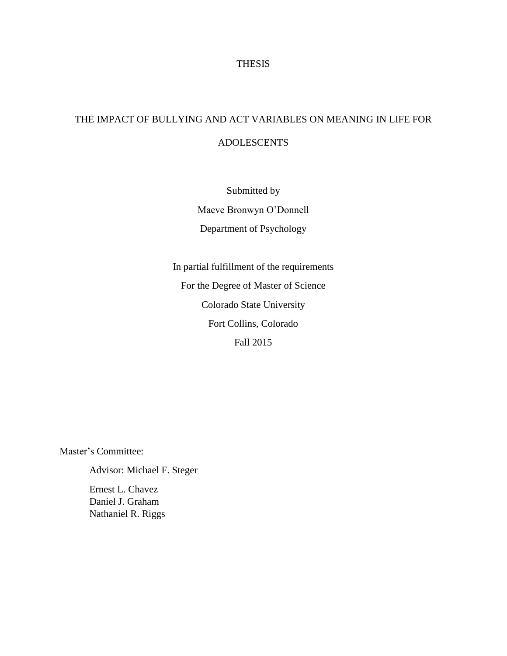# THESIS

# THE IMPACT OF BULLYING AND ACT VARIABLES ON MEANING IN LIFE FOR ADOLESCENTS

Submitted by Maeve Bronwyn O'Donnell Department of Psychology

In partial fulfillment of the requirements For the Degree of Master of Science Colorado State University Fort Collins, Colorado Fall 2015

Master's Committee:

Advisor: Michael F. Steger Ernest L. Chavez

Daniel J. Graham Nathaniel R. Riggs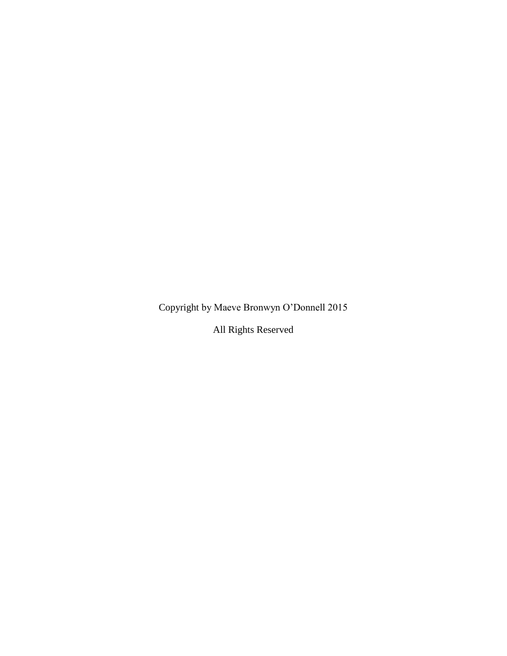Copyright by Maeve Bronwyn O'Donnell 2015

All Rights Reserved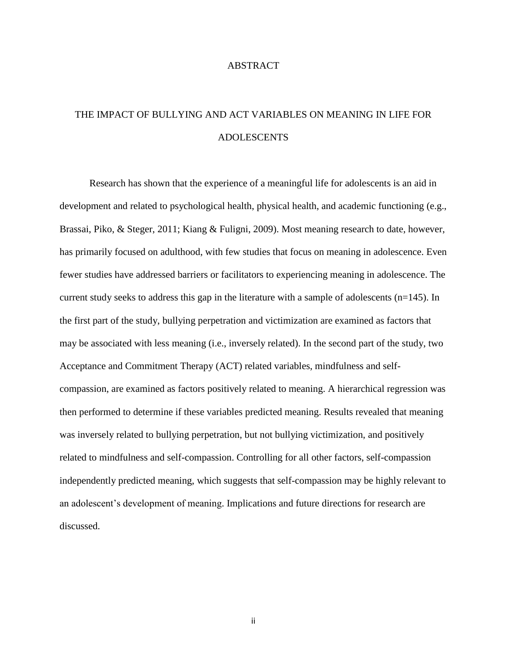#### ABSTRACT

# THE IMPACT OF BULLYING AND ACT VARIABLES ON MEANING IN LIFE FOR ADOLESCENTS

 Research has shown that the experience of a meaningful life for adolescents is an aid in development and related to psychological health, physical health, and academic functioning (e.g., Brassai, Piko, & Steger, 2011; Kiang & Fuligni, 2009). Most meaning research to date, however, has primarily focused on adulthood, with few studies that focus on meaning in adolescence. Even fewer studies have addressed barriers or facilitators to experiencing meaning in adolescence. The current study seeks to address this gap in the literature with a sample of adolescents (n=145). In the first part of the study, bullying perpetration and victimization are examined as factors that may be associated with less meaning (i.e., inversely related). In the second part of the study, two Acceptance and Commitment Therapy (ACT) related variables, mindfulness and selfcompassion, are examined as factors positively related to meaning. A hierarchical regression was then performed to determine if these variables predicted meaning. Results revealed that meaning was inversely related to bullying perpetration, but not bullying victimization, and positively related to mindfulness and self-compassion. Controlling for all other factors, self-compassion independently predicted meaning, which suggests that self-compassion may be highly relevant to an adolescent's development of meaning. Implications and future directions for research are discussed.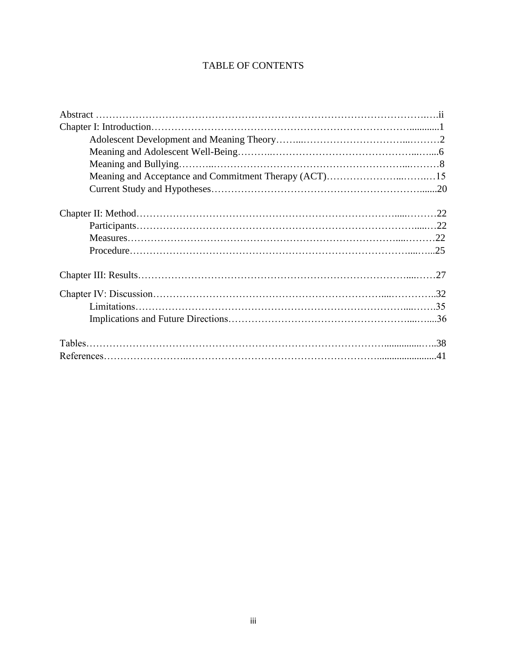# TABLE OF CONTENTS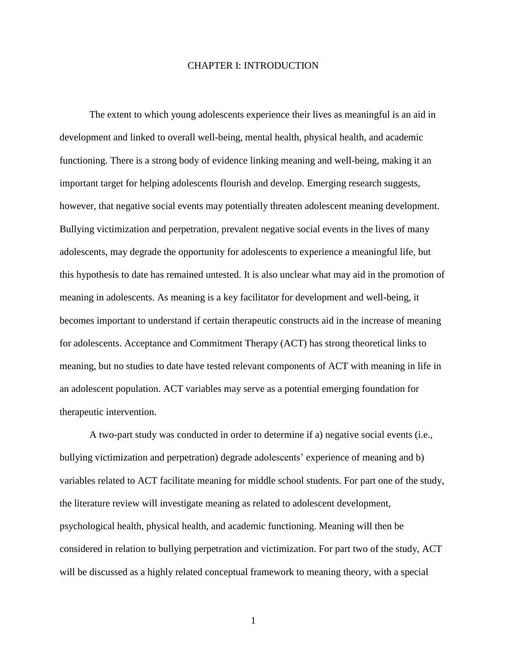#### CHAPTER I: INTRODUCTION

 The extent to which young adolescents experience their lives as meaningful is an aid in development and linked to overall well-being, mental health, physical health, and academic functioning. There is a strong body of evidence linking meaning and well-being, making it an important target for helping adolescents flourish and develop. Emerging research suggests, however, that negative social events may potentially threaten adolescent meaning development. Bullying victimization and perpetration, prevalent negative social events in the lives of many adolescents, may degrade the opportunity for adolescents to experience a meaningful life, but this hypothesis to date has remained untested. It is also unclear what may aid in the promotion of meaning in adolescents. As meaning is a key facilitator for development and well-being, it becomes important to understand if certain therapeutic constructs aid in the increase of meaning for adolescents. Acceptance and Commitment Therapy (ACT) has strong theoretical links to meaning, but no studies to date have tested relevant components of ACT with meaning in life in an adolescent population. ACT variables may serve as a potential emerging foundation for therapeutic intervention.

 A two-part study was conducted in order to determine if a) negative social events (i.e., bullying victimization and perpetration) degrade adolescents' experience of meaning and b) variables related to ACT facilitate meaning for middle school students. For part one of the study, the literature review will investigate meaning as related to adolescent development, psychological health, physical health, and academic functioning. Meaning will then be considered in relation to bullying perpetration and victimization. For part two of the study, ACT will be discussed as a highly related conceptual framework to meaning theory, with a special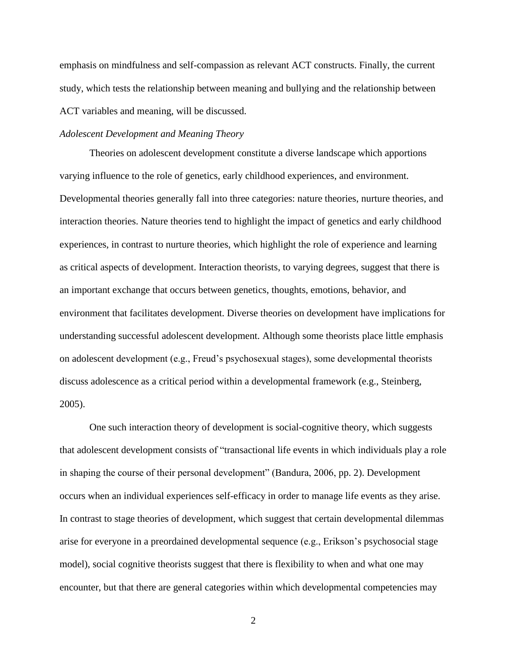emphasis on mindfulness and self-compassion as relevant ACT constructs. Finally, the current study, which tests the relationship between meaning and bullying and the relationship between ACT variables and meaning, will be discussed.

# *Adolescent Development and Meaning Theory*

 Theories on adolescent development constitute a diverse landscape which apportions varying influence to the role of genetics, early childhood experiences, and environment. Developmental theories generally fall into three categories: nature theories, nurture theories, and interaction theories. Nature theories tend to highlight the impact of genetics and early childhood experiences, in contrast to nurture theories, which highlight the role of experience and learning as critical aspects of development. Interaction theorists, to varying degrees, suggest that there is an important exchange that occurs between genetics, thoughts, emotions, behavior, and environment that facilitates development. Diverse theories on development have implications for understanding successful adolescent development. Although some theorists place little emphasis on adolescent development (e.g., Freud's psychosexual stages), some developmental theorists discuss adolescence as a critical period within a developmental framework (e.g., Steinberg, 2005).

One such interaction theory of development is social-cognitive theory, which suggests that adolescent development consists of "transactional life events in which individuals play a role in shaping the course of their personal development" (Bandura, 2006, pp. 2). Development occurs when an individual experiences self-efficacy in order to manage life events as they arise. In contrast to stage theories of development, which suggest that certain developmental dilemmas arise for everyone in a preordained developmental sequence (e.g., Erikson's psychosocial stage model), social cognitive theorists suggest that there is flexibility to when and what one may encounter, but that there are general categories within which developmental competencies may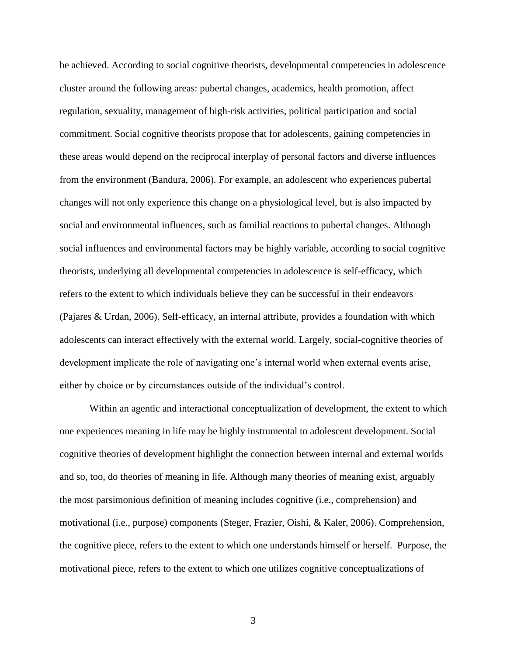be achieved. According to social cognitive theorists, developmental competencies in adolescence cluster around the following areas: pubertal changes, academics, health promotion, affect regulation, sexuality, management of high-risk activities, political participation and social commitment. Social cognitive theorists propose that for adolescents, gaining competencies in these areas would depend on the reciprocal interplay of personal factors and diverse influences from the environment (Bandura, 2006). For example, an adolescent who experiences pubertal changes will not only experience this change on a physiological level, but is also impacted by social and environmental influences, such as familial reactions to pubertal changes. Although social influences and environmental factors may be highly variable, according to social cognitive theorists, underlying all developmental competencies in adolescence is self-efficacy, which refers to the extent to which individuals believe they can be successful in their endeavors (Pajares & Urdan, 2006). Self-efficacy, an internal attribute, provides a foundation with which adolescents can interact effectively with the external world. Largely, social-cognitive theories of development implicate the role of navigating one's internal world when external events arise, either by choice or by circumstances outside of the individual's control.

 Within an agentic and interactional conceptualization of development, the extent to which one experiences meaning in life may be highly instrumental to adolescent development. Social cognitive theories of development highlight the connection between internal and external worlds and so, too, do theories of meaning in life. Although many theories of meaning exist, arguably the most parsimonious definition of meaning includes cognitive (i.e., comprehension) and motivational (i.e., purpose) components (Steger, Frazier, Oishi, & Kaler, 2006). Comprehension, the cognitive piece, refers to the extent to which one understands himself or herself. Purpose, the motivational piece, refers to the extent to which one utilizes cognitive conceptualizations of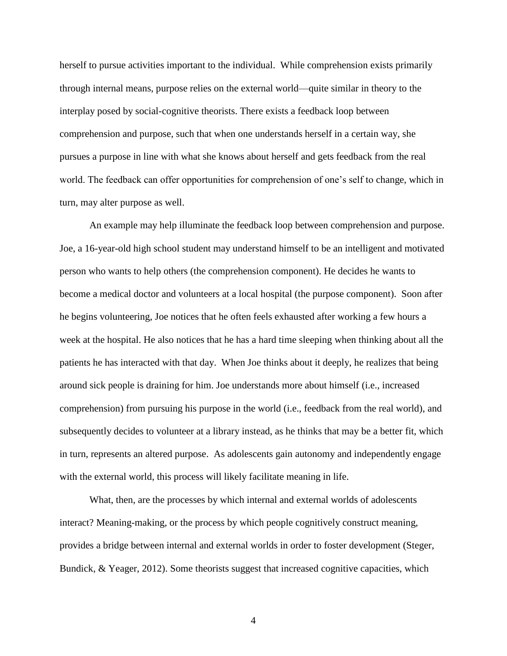herself to pursue activities important to the individual. While comprehension exists primarily through internal means, purpose relies on the external world—quite similar in theory to the interplay posed by social-cognitive theorists. There exists a feedback loop between comprehension and purpose, such that when one understands herself in a certain way, she pursues a purpose in line with what she knows about herself and gets feedback from the real world. The feedback can offer opportunities for comprehension of one's self to change, which in turn, may alter purpose as well.

An example may help illuminate the feedback loop between comprehension and purpose. Joe, a 16-year-old high school student may understand himself to be an intelligent and motivated person who wants to help others (the comprehension component). He decides he wants to become a medical doctor and volunteers at a local hospital (the purpose component). Soon after he begins volunteering, Joe notices that he often feels exhausted after working a few hours a week at the hospital. He also notices that he has a hard time sleeping when thinking about all the patients he has interacted with that day. When Joe thinks about it deeply, he realizes that being around sick people is draining for him. Joe understands more about himself (i.e., increased comprehension) from pursuing his purpose in the world (i.e., feedback from the real world), and subsequently decides to volunteer at a library instead, as he thinks that may be a better fit, which in turn, represents an altered purpose. As adolescents gain autonomy and independently engage with the external world, this process will likely facilitate meaning in life.

What, then, are the processes by which internal and external worlds of adolescents interact? Meaning-making, or the process by which people cognitively construct meaning, provides a bridge between internal and external worlds in order to foster development (Steger, Bundick, & Yeager, 2012). Some theorists suggest that increased cognitive capacities, which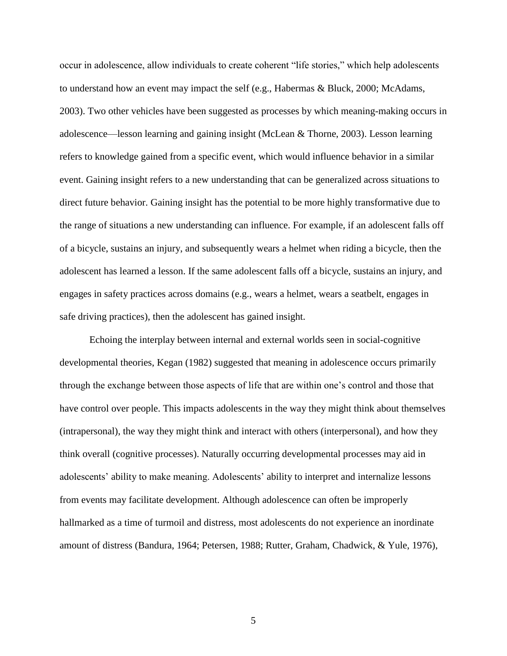occur in adolescence, allow individuals to create coherent "life stories," which help adolescents to understand how an event may impact the self (e.g., Habermas & Bluck, 2000; McAdams, 2003). Two other vehicles have been suggested as processes by which meaning-making occurs in adolescence—lesson learning and gaining insight (McLean & Thorne, 2003). Lesson learning refers to knowledge gained from a specific event, which would influence behavior in a similar event. Gaining insight refers to a new understanding that can be generalized across situations to direct future behavior. Gaining insight has the potential to be more highly transformative due to the range of situations a new understanding can influence. For example, if an adolescent falls off of a bicycle, sustains an injury, and subsequently wears a helmet when riding a bicycle, then the adolescent has learned a lesson. If the same adolescent falls off a bicycle, sustains an injury, and engages in safety practices across domains (e.g., wears a helmet, wears a seatbelt, engages in safe driving practices), then the adolescent has gained insight.

Echoing the interplay between internal and external worlds seen in social-cognitive developmental theories, Kegan (1982) suggested that meaning in adolescence occurs primarily through the exchange between those aspects of life that are within one's control and those that have control over people. This impacts adolescents in the way they might think about themselves (intrapersonal), the way they might think and interact with others (interpersonal), and how they think overall (cognitive processes). Naturally occurring developmental processes may aid in adolescents' ability to make meaning. Adolescents' ability to interpret and internalize lessons from events may facilitate development. Although adolescence can often be improperly hallmarked as a time of turmoil and distress, most adolescents do not experience an inordinate amount of distress (Bandura, 1964; Petersen, 1988; Rutter, Graham, Chadwick, & Yule, 1976),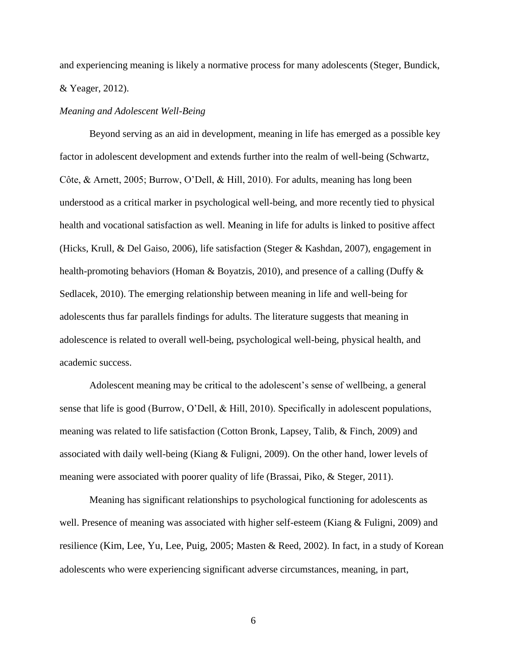and experiencing meaning is likely a normative process for many adolescents (Steger, Bundick, & Yeager, 2012).

## *Meaning and Adolescent Well-Being*

 Beyond serving as an aid in development, meaning in life has emerged as a possible key factor in adolescent development and extends further into the realm of well-being (Schwartz, Côte, & Arnett, 2005; Burrow, O'Dell, & Hill, 2010). For adults, meaning has long been understood as a critical marker in psychological well-being, and more recently tied to physical health and vocational satisfaction as well. Meaning in life for adults is linked to positive affect (Hicks, Krull, & Del Gaiso, 2006), life satisfaction (Steger & Kashdan, 2007), engagement in health-promoting behaviors (Homan & Boyatzis, 2010), and presence of a calling (Duffy & Sedlacek, 2010). The emerging relationship between meaning in life and well-being for adolescents thus far parallels findings for adults. The literature suggests that meaning in adolescence is related to overall well-being, psychological well-being, physical health, and academic success.

Adolescent meaning may be critical to the adolescent's sense of wellbeing, a general sense that life is good (Burrow, O'Dell, & Hill, 2010). Specifically in adolescent populations, meaning was related to life satisfaction (Cotton Bronk, Lapsey, Talib, & Finch, 2009) and associated with daily well-being (Kiang & Fuligni, 2009). On the other hand, lower levels of meaning were associated with poorer quality of life (Brassai, Piko, & Steger, 2011).

 Meaning has significant relationships to psychological functioning for adolescents as well. Presence of meaning was associated with higher self-esteem (Kiang & Fuligni, 2009) and resilience (Kim, Lee, Yu, Lee, Puig, 2005; Masten & Reed, 2002). In fact, in a study of Korean adolescents who were experiencing significant adverse circumstances, meaning, in part,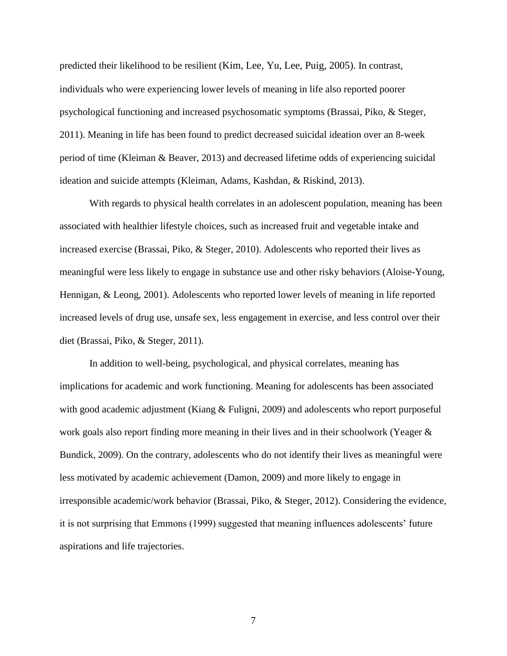predicted their likelihood to be resilient (Kim, Lee, Yu, Lee, Puig, 2005). In contrast, individuals who were experiencing lower levels of meaning in life also reported poorer psychological functioning and increased psychosomatic symptoms (Brassai, Piko, & Steger, 2011). Meaning in life has been found to predict decreased suicidal ideation over an 8-week period of time (Kleiman & Beaver, 2013) and decreased lifetime odds of experiencing suicidal ideation and suicide attempts (Kleiman, Adams, Kashdan, & Riskind, 2013).

With regards to physical health correlates in an adolescent population, meaning has been associated with healthier lifestyle choices, such as increased fruit and vegetable intake and increased exercise (Brassai, Piko, & Steger, 2010). Adolescents who reported their lives as meaningful were less likely to engage in substance use and other risky behaviors (Aloise-Young, Hennigan, & Leong, 2001). Adolescents who reported lower levels of meaning in life reported increased levels of drug use, unsafe sex, less engagement in exercise, and less control over their diet (Brassai, Piko, & Steger, 2011).

 In addition to well-being, psychological, and physical correlates, meaning has implications for academic and work functioning. Meaning for adolescents has been associated with good academic adjustment (Kiang & Fuligni, 2009) and adolescents who report purposeful work goals also report finding more meaning in their lives and in their schoolwork (Yeager & Bundick, 2009). On the contrary, adolescents who do not identify their lives as meaningful were less motivated by academic achievement (Damon, 2009) and more likely to engage in irresponsible academic/work behavior (Brassai, Piko, & Steger, 2012). Considering the evidence, it is not surprising that Emmons (1999) suggested that meaning influences adolescents' future aspirations and life trajectories.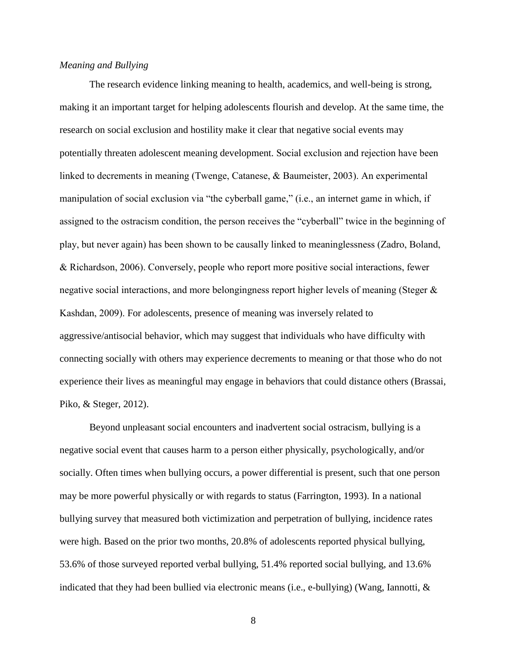## *Meaning and Bullying*

The research evidence linking meaning to health, academics, and well-being is strong, making it an important target for helping adolescents flourish and develop. At the same time, the research on social exclusion and hostility make it clear that negative social events may potentially threaten adolescent meaning development. Social exclusion and rejection have been linked to decrements in meaning (Twenge, Catanese, & Baumeister, 2003). An experimental manipulation of social exclusion via "the cyberball game," (i.e., an internet game in which, if assigned to the ostracism condition, the person receives the "cyberball" twice in the beginning of play, but never again) has been shown to be causally linked to meaninglessness (Zadro, Boland, & Richardson, 2006). Conversely, people who report more positive social interactions, fewer negative social interactions, and more belongingness report higher levels of meaning (Steger & Kashdan, 2009). For adolescents, presence of meaning was inversely related to aggressive/antisocial behavior, which may suggest that individuals who have difficulty with connecting socially with others may experience decrements to meaning or that those who do not experience their lives as meaningful may engage in behaviors that could distance others (Brassai, Piko, & Steger, 2012).

 Beyond unpleasant social encounters and inadvertent social ostracism, bullying is a negative social event that causes harm to a person either physically, psychologically, and/or socially. Often times when bullying occurs, a power differential is present, such that one person may be more powerful physically or with regards to status (Farrington, 1993). In a national bullying survey that measured both victimization and perpetration of bullying, incidence rates were high. Based on the prior two months, 20.8% of adolescents reported physical bullying, 53.6% of those surveyed reported verbal bullying, 51.4% reported social bullying, and 13.6% indicated that they had been bullied via electronic means (i.e., e-bullying) (Wang, Iannotti, &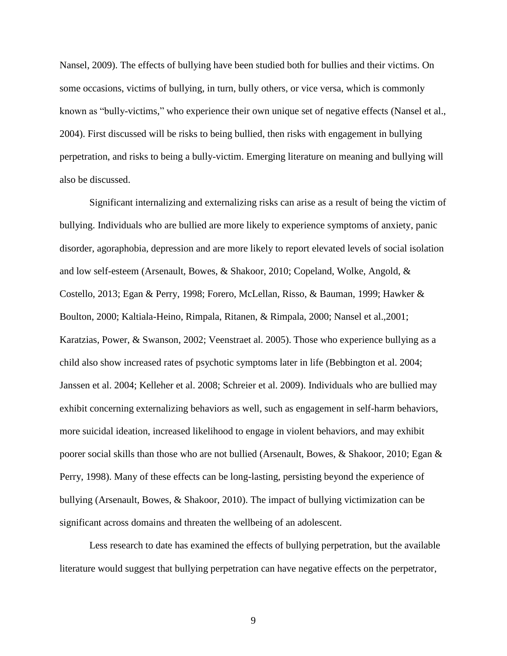Nansel, 2009). The effects of bullying have been studied both for bullies and their victims. On some occasions, victims of bullying, in turn, bully others, or vice versa, which is commonly known as "bully-victims," who experience their own unique set of negative effects (Nansel et al., 2004). First discussed will be risks to being bullied, then risks with engagement in bullying perpetration, and risks to being a bully-victim. Emerging literature on meaning and bullying will also be discussed.

 Significant internalizing and externalizing risks can arise as a result of being the victim of bullying. Individuals who are bullied are more likely to experience symptoms of anxiety, panic disorder, agoraphobia, depression and are more likely to report elevated levels of social isolation and low self-esteem (Arsenault, Bowes, & Shakoor, 2010; Copeland, Wolke, Angold, & Costello, 2013; Egan & Perry, 1998; Forero, McLellan, Risso, & Bauman, 1999; Hawker & Boulton, 2000; Kaltiala-Heino, Rimpala, Ritanen, & Rimpala, 2000; Nansel et al.,2001; Karatzias, Power, & Swanson, 2002; Veenstraet al. 2005). Those who experience bullying as a child also show increased rates of psychotic symptoms later in life (Bebbington et al. 2004; Janssen et al. 2004; Kelleher et al. 2008; Schreier et al. 2009). Individuals who are bullied may exhibit concerning externalizing behaviors as well, such as engagement in self-harm behaviors, more suicidal ideation, increased likelihood to engage in violent behaviors, and may exhibit poorer social skills than those who are not bullied (Arsenault, Bowes, & Shakoor, 2010; Egan & Perry, 1998). Many of these effects can be long-lasting, persisting beyond the experience of bullying (Arsenault, Bowes, & Shakoor, 2010). The impact of bullying victimization can be significant across domains and threaten the wellbeing of an adolescent.

Less research to date has examined the effects of bullying perpetration, but the available literature would suggest that bullying perpetration can have negative effects on the perpetrator,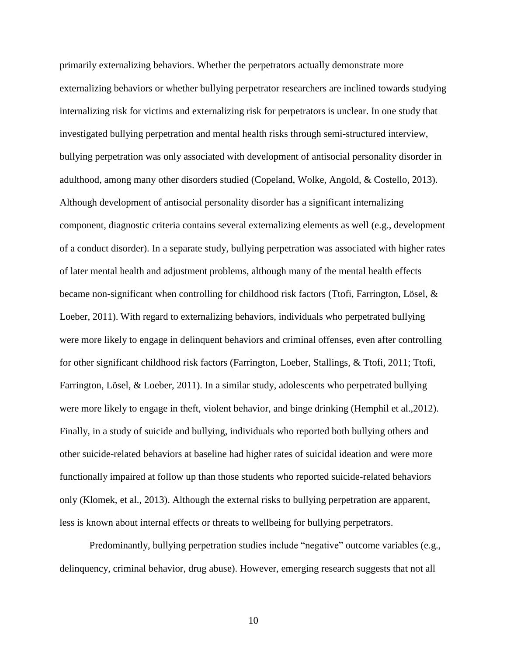primarily externalizing behaviors. Whether the perpetrators actually demonstrate more externalizing behaviors or whether bullying perpetrator researchers are inclined towards studying internalizing risk for victims and externalizing risk for perpetrators is unclear. In one study that investigated bullying perpetration and mental health risks through semi-structured interview, bullying perpetration was only associated with development of antisocial personality disorder in adulthood, among many other disorders studied (Copeland, Wolke, Angold, & Costello, 2013). Although development of antisocial personality disorder has a significant internalizing component, diagnostic criteria contains several externalizing elements as well (e.g., development of a conduct disorder). In a separate study, bullying perpetration was associated with higher rates of later mental health and adjustment problems, although many of the mental health effects became non-significant when controlling for childhood risk factors (Ttofi, Farrington, Lösel, & Loeber, 2011). With regard to externalizing behaviors, individuals who perpetrated bullying were more likely to engage in delinquent behaviors and criminal offenses, even after controlling for other significant childhood risk factors (Farrington, Loeber, Stallings, & Ttofi, 2011; Ttofi, Farrington, Lösel, & Loeber, 2011). In a similar study, adolescents who perpetrated bullying were more likely to engage in theft, violent behavior, and binge drinking (Hemphil et al.,2012). Finally, in a study of suicide and bullying, individuals who reported both bullying others and other suicide-related behaviors at baseline had higher rates of suicidal ideation and were more functionally impaired at follow up than those students who reported suicide-related behaviors only (Klomek, et al., 2013). Although the external risks to bullying perpetration are apparent, less is known about internal effects or threats to wellbeing for bullying perpetrators.

Predominantly, bullying perpetration studies include "negative" outcome variables (e.g., delinquency, criminal behavior, drug abuse). However, emerging research suggests that not all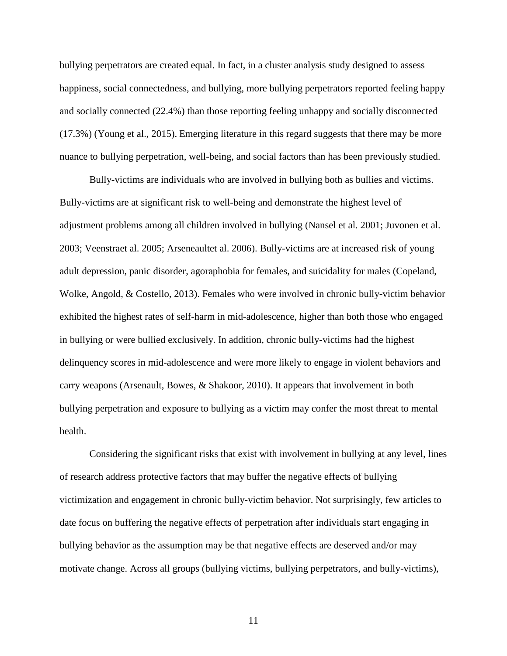bullying perpetrators are created equal. In fact, in a cluster analysis study designed to assess happiness, social connectedness, and bullying, more bullying perpetrators reported feeling happy and socially connected (22.4%) than those reporting feeling unhappy and socially disconnected (17.3%) (Young et al., 2015). Emerging literature in this regard suggests that there may be more nuance to bullying perpetration, well-being, and social factors than has been previously studied.

 Bully-victims are individuals who are involved in bullying both as bullies and victims. Bully-victims are at significant risk to well-being and demonstrate the highest level of adjustment problems among all children involved in bullying (Nansel et al. 2001; Juvonen et al. 2003; Veenstraet al. 2005; Arseneaultet al. 2006). Bully-victims are at increased risk of young adult depression, panic disorder, agoraphobia for females, and suicidality for males (Copeland, Wolke, Angold, & Costello, 2013). Females who were involved in chronic bully-victim behavior exhibited the highest rates of self-harm in mid-adolescence, higher than both those who engaged in bullying or were bullied exclusively. In addition, chronic bully-victims had the highest delinquency scores in mid-adolescence and were more likely to engage in violent behaviors and carry weapons (Arsenault, Bowes, & Shakoor, 2010). It appears that involvement in both bullying perpetration and exposure to bullying as a victim may confer the most threat to mental health.

 Considering the significant risks that exist with involvement in bullying at any level, lines of research address protective factors that may buffer the negative effects of bullying victimization and engagement in chronic bully-victim behavior. Not surprisingly, few articles to date focus on buffering the negative effects of perpetration after individuals start engaging in bullying behavior as the assumption may be that negative effects are deserved and/or may motivate change. Across all groups (bullying victims, bullying perpetrators, and bully-victims),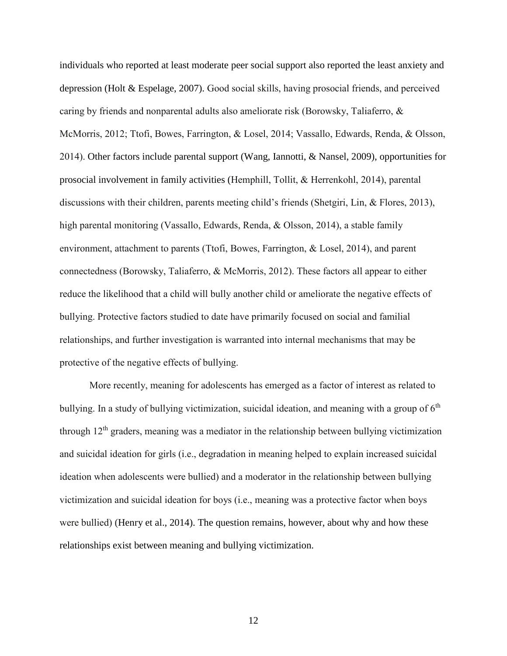individuals who reported at least moderate peer social support also reported the least anxiety and depression (Holt & Espelage, 2007). Good social skills, having prosocial friends, and perceived caring by friends and nonparental adults also ameliorate risk (Borowsky, Taliaferro, & McMorris, 2012; Ttofi, Bowes, Farrington, & Losel, 2014; Vassallo, Edwards, Renda, & Olsson, 2014). Other factors include parental support (Wang, Iannotti, & Nansel, 2009), opportunities for prosocial involvement in family activities (Hemphill, Tollit, & Herrenkohl, 2014), parental discussions with their children, parents meeting child's friends (Shetgiri, Lin, & Flores, 2013), high parental monitoring (Vassallo, Edwards, Renda, & Olsson, 2014), a stable family environment, attachment to parents (Ttofi, Bowes, Farrington, & Losel, 2014), and parent connectedness (Borowsky, Taliaferro, & McMorris, 2012). These factors all appear to either reduce the likelihood that a child will bully another child or ameliorate the negative effects of bullying. Protective factors studied to date have primarily focused on social and familial relationships, and further investigation is warranted into internal mechanisms that may be protective of the negative effects of bullying.

 More recently, meaning for adolescents has emerged as a factor of interest as related to bullying. In a study of bullying victimization, suicidal ideation, and meaning with a group of  $6<sup>th</sup>$ through  $12<sup>th</sup>$  graders, meaning was a mediator in the relationship between bullying victimization and suicidal ideation for girls (i.e., degradation in meaning helped to explain increased suicidal ideation when adolescents were bullied) and a moderator in the relationship between bullying victimization and suicidal ideation for boys (i.e., meaning was a protective factor when boys were bullied) (Henry et al., 2014). The question remains, however, about why and how these relationships exist between meaning and bullying victimization.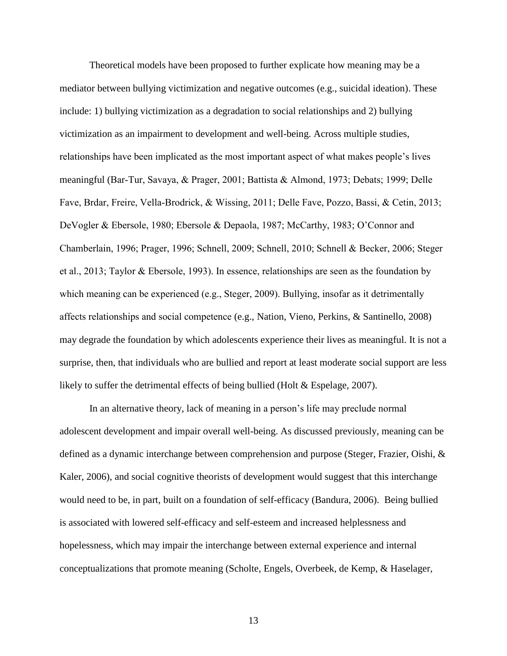Theoretical models have been proposed to further explicate how meaning may be a mediator between bullying victimization and negative outcomes (e.g., suicidal ideation). These include: 1) bullying victimization as a degradation to social relationships and 2) bullying victimization as an impairment to development and well-being. Across multiple studies, relationships have been implicated as the most important aspect of what makes people's lives meaningful (Bar-Tur, Savaya, & Prager, 2001; Battista & Almond, 1973; Debats; 1999; Delle Fave, Brdar, Freire, Vella-Brodrick, & Wissing, 2011; Delle Fave, Pozzo, Bassi, & Cetin, 2013; DeVogler & Ebersole, 1980; Ebersole & Depaola, 1987; McCarthy, 1983; O'Connor and Chamberlain, 1996; Prager, 1996; Schnell, 2009; Schnell, 2010; Schnell & Becker, 2006; Steger et al., 2013; Taylor & Ebersole, 1993). In essence, relationships are seen as the foundation by which meaning can be experienced (e.g., Steger, 2009). Bullying, insofar as it detrimentally affects relationships and social competence (e.g., Nation, Vieno, Perkins, & Santinello, 2008) may degrade the foundation by which adolescents experience their lives as meaningful. It is not a surprise, then, that individuals who are bullied and report at least moderate social support are less likely to suffer the detrimental effects of being bullied (Holt & Espelage, 2007).

 In an alternative theory, lack of meaning in a person's life may preclude normal adolescent development and impair overall well-being. As discussed previously, meaning can be defined as a dynamic interchange between comprehension and purpose (Steger, Frazier, Oishi, & Kaler, 2006), and social cognitive theorists of development would suggest that this interchange would need to be, in part, built on a foundation of self-efficacy (Bandura, 2006). Being bullied is associated with lowered self-efficacy and self-esteem and increased helplessness and hopelessness, which may impair the interchange between external experience and internal conceptualizations that promote meaning (Scholte, Engels, Overbeek, de Kemp, & Haselager,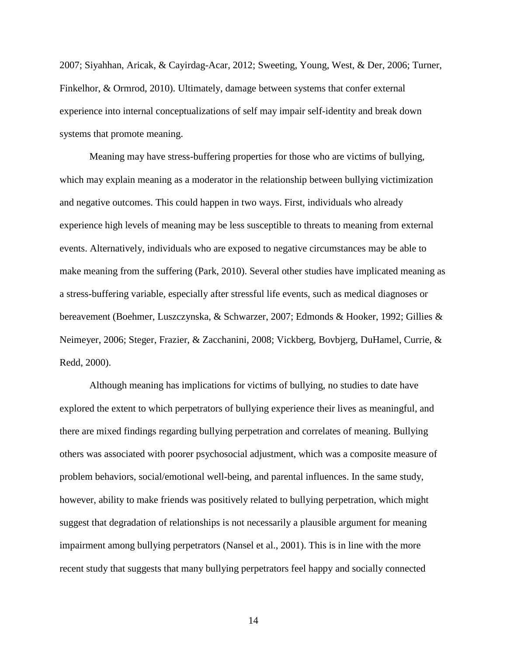2007; Siyahhan, Aricak, & Cayirdag-Acar, 2012; Sweeting, Young, West, & Der, 2006; Turner, Finkelhor, & Ormrod, 2010). Ultimately, damage between systems that confer external experience into internal conceptualizations of self may impair self-identity and break down systems that promote meaning.

 Meaning may have stress-buffering properties for those who are victims of bullying, which may explain meaning as a moderator in the relationship between bullying victimization and negative outcomes. This could happen in two ways. First, individuals who already experience high levels of meaning may be less susceptible to threats to meaning from external events. Alternatively, individuals who are exposed to negative circumstances may be able to make meaning from the suffering (Park, 2010). Several other studies have implicated meaning as a stress-buffering variable, especially after stressful life events, such as medical diagnoses or bereavement (Boehmer, Luszczynska, & Schwarzer, 2007; Edmonds & Hooker, 1992; Gillies & Neimeyer, 2006; Steger, Frazier, & Zacchanini, 2008; Vickberg, Bovbjerg, DuHamel, Currie, & Redd, 2000).

 Although meaning has implications for victims of bullying, no studies to date have explored the extent to which perpetrators of bullying experience their lives as meaningful, and there are mixed findings regarding bullying perpetration and correlates of meaning. Bullying others was associated with poorer psychosocial adjustment, which was a composite measure of problem behaviors, social/emotional well-being, and parental influences. In the same study, however, ability to make friends was positively related to bullying perpetration, which might suggest that degradation of relationships is not necessarily a plausible argument for meaning impairment among bullying perpetrators (Nansel et al., 2001). This is in line with the more recent study that suggests that many bullying perpetrators feel happy and socially connected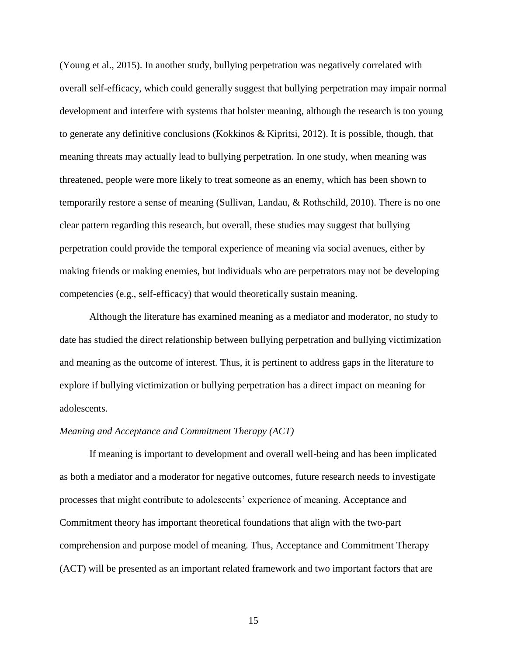(Young et al., 2015). In another study, bullying perpetration was negatively correlated with overall self-efficacy, which could generally suggest that bullying perpetration may impair normal development and interfere with systems that bolster meaning, although the research is too young to generate any definitive conclusions (Kokkinos & Kipritsi, 2012). It is possible, though, that meaning threats may actually lead to bullying perpetration. In one study, when meaning was threatened, people were more likely to treat someone as an enemy, which has been shown to temporarily restore a sense of meaning (Sullivan, Landau, & Rothschild, 2010). There is no one clear pattern regarding this research, but overall, these studies may suggest that bullying perpetration could provide the temporal experience of meaning via social avenues, either by making friends or making enemies, but individuals who are perpetrators may not be developing competencies (e.g., self-efficacy) that would theoretically sustain meaning.

 Although the literature has examined meaning as a mediator and moderator, no study to date has studied the direct relationship between bullying perpetration and bullying victimization and meaning as the outcome of interest. Thus, it is pertinent to address gaps in the literature to explore if bullying victimization or bullying perpetration has a direct impact on meaning for adolescents.

#### *Meaning and Acceptance and Commitment Therapy (ACT)*

 If meaning is important to development and overall well-being and has been implicated as both a mediator and a moderator for negative outcomes, future research needs to investigate processes that might contribute to adolescents' experience of meaning. Acceptance and Commitment theory has important theoretical foundations that align with the two-part comprehension and purpose model of meaning. Thus, Acceptance and Commitment Therapy (ACT) will be presented as an important related framework and two important factors that are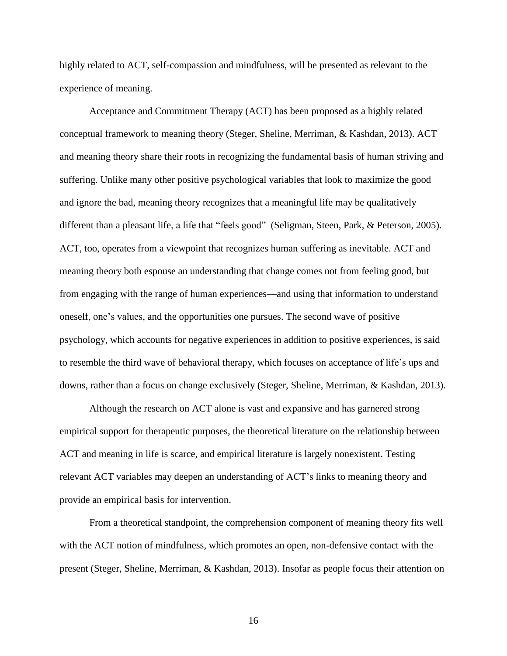highly related to ACT, self-compassion and mindfulness, will be presented as relevant to the experience of meaning.

 Acceptance and Commitment Therapy (ACT) has been proposed as a highly related conceptual framework to meaning theory (Steger, Sheline, Merriman, & Kashdan, 2013). ACT and meaning theory share their roots in recognizing the fundamental basis of human striving and suffering. Unlike many other positive psychological variables that look to maximize the good and ignore the bad, meaning theory recognizes that a meaningful life may be qualitatively different than a pleasant life, a life that "feels good" (Seligman, Steen, Park, & Peterson, 2005). ACT, too, operates from a viewpoint that recognizes human suffering as inevitable. ACT and meaning theory both espouse an understanding that change comes not from feeling good, but from engaging with the range of human experiences—and using that information to understand oneself, one's values, and the opportunities one pursues. The second wave of positive psychology, which accounts for negative experiences in addition to positive experiences, is said to resemble the third wave of behavioral therapy, which focuses on acceptance of life's ups and downs, rather than a focus on change exclusively (Steger, Sheline, Merriman, & Kashdan, 2013).

 Although the research on ACT alone is vast and expansive and has garnered strong empirical support for therapeutic purposes, the theoretical literature on the relationship between ACT and meaning in life is scarce, and empirical literature is largely nonexistent. Testing relevant ACT variables may deepen an understanding of ACT's links to meaning theory and provide an empirical basis for intervention.

 From a theoretical standpoint, the comprehension component of meaning theory fits well with the ACT notion of mindfulness, which promotes an open, non-defensive contact with the present (Steger, Sheline, Merriman, & Kashdan, 2013). Insofar as people focus their attention on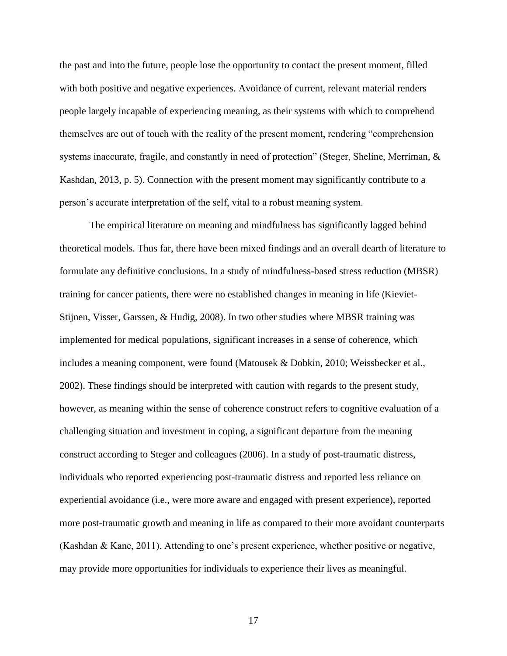the past and into the future, people lose the opportunity to contact the present moment, filled with both positive and negative experiences. Avoidance of current, relevant material renders people largely incapable of experiencing meaning, as their systems with which to comprehend themselves are out of touch with the reality of the present moment, rendering "comprehension systems inaccurate, fragile, and constantly in need of protection" (Steger, Sheline, Merriman, & Kashdan, 2013, p. 5). Connection with the present moment may significantly contribute to a person's accurate interpretation of the self, vital to a robust meaning system.

 The empirical literature on meaning and mindfulness has significantly lagged behind theoretical models. Thus far, there have been mixed findings and an overall dearth of literature to formulate any definitive conclusions. In a study of mindfulness-based stress reduction (MBSR) training for cancer patients, there were no established changes in meaning in life (Kieviet-Stijnen, Visser, Garssen, & Hudig, 2008). In two other studies where MBSR training was implemented for medical populations, significant increases in a sense of coherence, which includes a meaning component, were found (Matousek & Dobkin, 2010; Weissbecker et al., 2002). These findings should be interpreted with caution with regards to the present study, however, as meaning within the sense of coherence construct refers to cognitive evaluation of a challenging situation and investment in coping, a significant departure from the meaning construct according to Steger and colleagues (2006). In a study of post-traumatic distress, individuals who reported experiencing post-traumatic distress and reported less reliance on experiential avoidance (i.e., were more aware and engaged with present experience), reported more post-traumatic growth and meaning in life as compared to their more avoidant counterparts (Kashdan & Kane, 2011). Attending to one's present experience, whether positive or negative, may provide more opportunities for individuals to experience their lives as meaningful.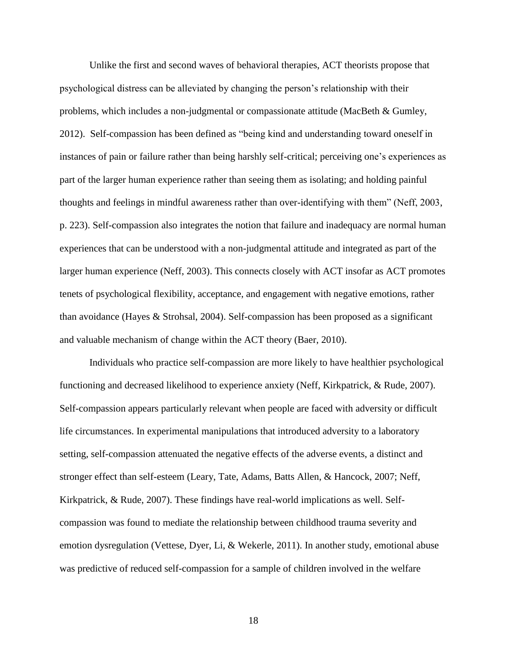Unlike the first and second waves of behavioral therapies, ACT theorists propose that psychological distress can be alleviated by changing the person's relationship with their problems, which includes a non-judgmental or compassionate attitude (MacBeth & Gumley, 2012). Self-compassion has been defined as "being kind and understanding toward oneself in instances of pain or failure rather than being harshly self-critical; perceiving one's experiences as part of the larger human experience rather than seeing them as isolating; and holding painful thoughts and feelings in mindful awareness rather than over-identifying with them" (Neff, 2003, p. 223). Self-compassion also integrates the notion that failure and inadequacy are normal human experiences that can be understood with a non-judgmental attitude and integrated as part of the larger human experience (Neff, 2003). This connects closely with ACT insofar as ACT promotes tenets of psychological flexibility, acceptance, and engagement with negative emotions, rather than avoidance (Hayes & Strohsal, 2004). Self-compassion has been proposed as a significant and valuable mechanism of change within the ACT theory (Baer, 2010).

 Individuals who practice self-compassion are more likely to have healthier psychological functioning and decreased likelihood to experience anxiety (Neff, Kirkpatrick, & Rude, 2007). Self-compassion appears particularly relevant when people are faced with adversity or difficult life circumstances. In experimental manipulations that introduced adversity to a laboratory setting, self-compassion attenuated the negative effects of the adverse events, a distinct and stronger effect than self-esteem (Leary, Tate, Adams, Batts Allen, & Hancock, 2007; Neff, Kirkpatrick, & Rude, 2007). These findings have real-world implications as well. Selfcompassion was found to mediate the relationship between childhood trauma severity and emotion dysregulation (Vettese, Dyer, Li, & Wekerle, 2011). In another study, emotional abuse was predictive of reduced self-compassion for a sample of children involved in the welfare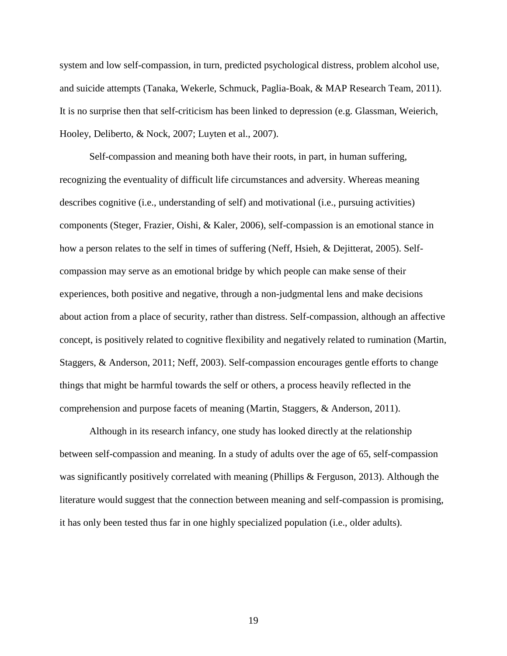system and low self-compassion, in turn, predicted psychological distress, problem alcohol use, and suicide attempts (Tanaka, Wekerle, Schmuck, Paglia-Boak, & MAP Research Team, 2011). It is no surprise then that self-criticism has been linked to depression (e.g. Glassman, Weierich, Hooley, Deliberto, & Nock, 2007; Luyten et al., 2007).

 Self-compassion and meaning both have their roots, in part, in human suffering, recognizing the eventuality of difficult life circumstances and adversity. Whereas meaning describes cognitive (i.e., understanding of self) and motivational (i.e., pursuing activities) components (Steger, Frazier, Oishi, & Kaler, 2006), self-compassion is an emotional stance in how a person relates to the self in times of suffering (Neff, Hsieh, & Dejitterat, 2005). Selfcompassion may serve as an emotional bridge by which people can make sense of their experiences, both positive and negative, through a non-judgmental lens and make decisions about action from a place of security, rather than distress. Self-compassion, although an affective concept, is positively related to cognitive flexibility and negatively related to rumination (Martin, Staggers, & Anderson, 2011; Neff, 2003). Self-compassion encourages gentle efforts to change things that might be harmful towards the self or others, a process heavily reflected in the comprehension and purpose facets of meaning (Martin, Staggers, & Anderson, 2011).

Although in its research infancy, one study has looked directly at the relationship between self-compassion and meaning. In a study of adults over the age of 65, self-compassion was significantly positively correlated with meaning (Phillips & Ferguson, 2013). Although the literature would suggest that the connection between meaning and self-compassion is promising, it has only been tested thus far in one highly specialized population (i.e., older adults).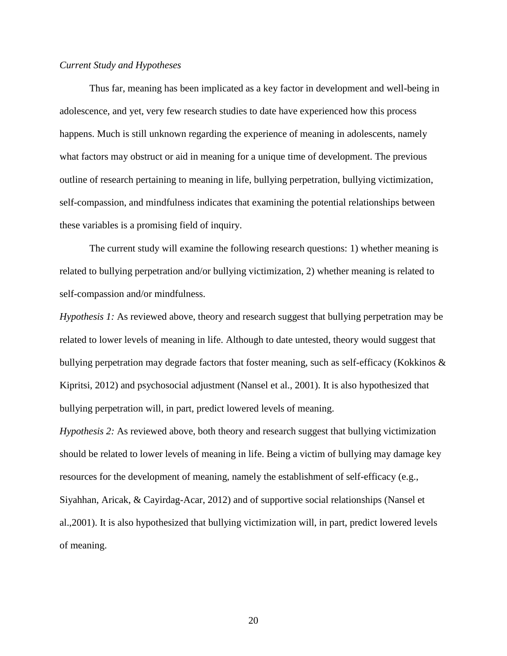## *Current Study and Hypotheses*

Thus far, meaning has been implicated as a key factor in development and well-being in adolescence, and yet, very few research studies to date have experienced how this process happens. Much is still unknown regarding the experience of meaning in adolescents, namely what factors may obstruct or aid in meaning for a unique time of development. The previous outline of research pertaining to meaning in life, bullying perpetration, bullying victimization, self-compassion, and mindfulness indicates that examining the potential relationships between these variables is a promising field of inquiry.

 The current study will examine the following research questions: 1) whether meaning is related to bullying perpetration and/or bullying victimization, 2) whether meaning is related to self-compassion and/or mindfulness.

*Hypothesis 1:* As reviewed above, theory and research suggest that bullying perpetration may be related to lower levels of meaning in life. Although to date untested, theory would suggest that bullying perpetration may degrade factors that foster meaning, such as self-efficacy (Kokkinos  $\&$ Kipritsi, 2012) and psychosocial adjustment (Nansel et al., 2001). It is also hypothesized that bullying perpetration will, in part, predict lowered levels of meaning.

*Hypothesis 2:* As reviewed above, both theory and research suggest that bullying victimization should be related to lower levels of meaning in life. Being a victim of bullying may damage key resources for the development of meaning, namely the establishment of self-efficacy (e.g., Siyahhan, Aricak, & Cayirdag-Acar, 2012) and of supportive social relationships (Nansel et al.,2001). It is also hypothesized that bullying victimization will, in part, predict lowered levels of meaning.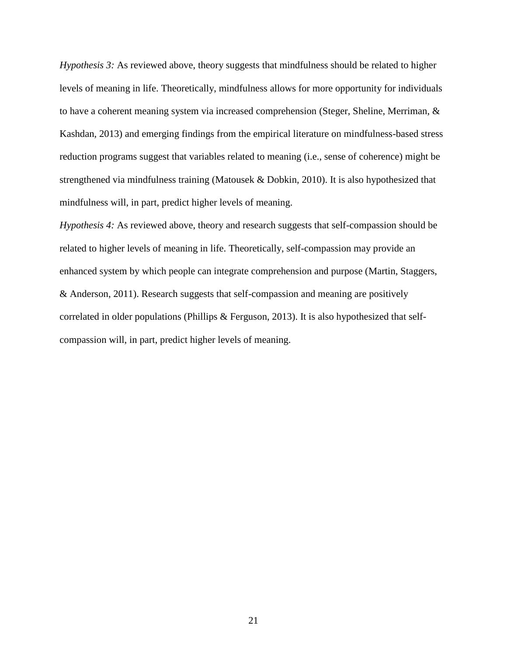*Hypothesis 3:* As reviewed above, theory suggests that mindfulness should be related to higher levels of meaning in life. Theoretically, mindfulness allows for more opportunity for individuals to have a coherent meaning system via increased comprehension (Steger, Sheline, Merriman, & Kashdan, 2013) and emerging findings from the empirical literature on mindfulness-based stress reduction programs suggest that variables related to meaning (i.e., sense of coherence) might be strengthened via mindfulness training (Matousek & Dobkin, 2010). It is also hypothesized that mindfulness will, in part, predict higher levels of meaning.

*Hypothesis 4:* As reviewed above, theory and research suggests that self-compassion should be related to higher levels of meaning in life. Theoretically, self-compassion may provide an enhanced system by which people can integrate comprehension and purpose (Martin, Staggers, & Anderson, 2011). Research suggests that self-compassion and meaning are positively correlated in older populations (Phillips & Ferguson, 2013). It is also hypothesized that selfcompassion will, in part, predict higher levels of meaning.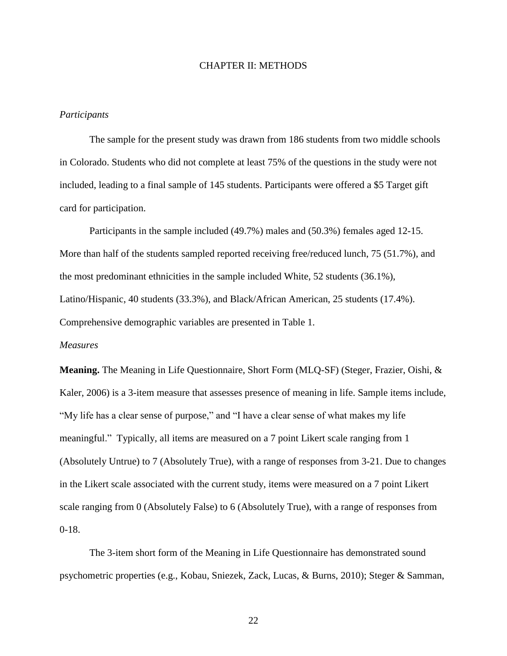#### CHAPTER II: METHODS

#### *Participants*

The sample for the present study was drawn from 186 students from two middle schools in Colorado. Students who did not complete at least 75% of the questions in the study were not included, leading to a final sample of 145 students. Participants were offered a \$5 Target gift card for participation.

Participants in the sample included (49.7%) males and (50.3%) females aged 12-15. More than half of the students sampled reported receiving free/reduced lunch, 75 (51.7%), and the most predominant ethnicities in the sample included White, 52 students (36.1%), Latino/Hispanic, 40 students (33.3%), and Black/African American, 25 students (17.4%). Comprehensive demographic variables are presented in Table 1.

#### *Measures*

**Meaning.** The Meaning in Life Questionnaire, Short Form (MLQ-SF) (Steger, Frazier, Oishi, & Kaler, 2006) is a 3-item measure that assesses presence of meaning in life. Sample items include, "My life has a clear sense of purpose," and "I have a clear sense of what makes my life meaningful." Typically, all items are measured on a 7 point Likert scale ranging from 1 (Absolutely Untrue) to 7 (Absolutely True), with a range of responses from 3-21. Due to changes in the Likert scale associated with the current study, items were measured on a 7 point Likert scale ranging from 0 (Absolutely False) to 6 (Absolutely True), with a range of responses from 0-18.

The 3-item short form of the Meaning in Life Questionnaire has demonstrated sound psychometric properties (e.g., Kobau, Sniezek, Zack, Lucas, & Burns, 2010); Steger & Samman,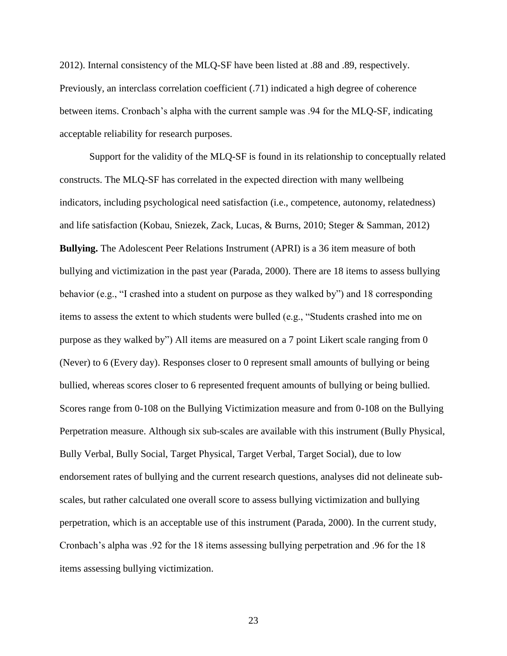2012). Internal consistency of the MLQ-SF have been listed at .88 and .89, respectively. Previously, an interclass correlation coefficient (.71) indicated a high degree of coherence between items. Cronbach's alpha with the current sample was .94 for the MLQ-SF, indicating acceptable reliability for research purposes.

Support for the validity of the MLQ-SF is found in its relationship to conceptually related constructs. The MLQ-SF has correlated in the expected direction with many wellbeing indicators, including psychological need satisfaction (i.e., competence, autonomy, relatedness) and life satisfaction (Kobau, Sniezek, Zack, Lucas, & Burns, 2010; Steger & Samman, 2012) **Bullying.** The Adolescent Peer Relations Instrument (APRI) is a 36 item measure of both bullying and victimization in the past year (Parada, 2000). There are 18 items to assess bullying behavior (e.g., "I crashed into a student on purpose as they walked by") and 18 corresponding items to assess the extent to which students were bulled (e.g., "Students crashed into me on purpose as they walked by") All items are measured on a 7 point Likert scale ranging from 0 (Never) to 6 (Every day). Responses closer to 0 represent small amounts of bullying or being bullied, whereas scores closer to 6 represented frequent amounts of bullying or being bullied. Scores range from 0-108 on the Bullying Victimization measure and from 0-108 on the Bullying Perpetration measure. Although six sub-scales are available with this instrument (Bully Physical, Bully Verbal, Bully Social, Target Physical, Target Verbal, Target Social), due to low endorsement rates of bullying and the current research questions, analyses did not delineate subscales, but rather calculated one overall score to assess bullying victimization and bullying perpetration, which is an acceptable use of this instrument (Parada, 2000). In the current study, Cronbach's alpha was .92 for the 18 items assessing bullying perpetration and .96 for the 18 items assessing bullying victimization.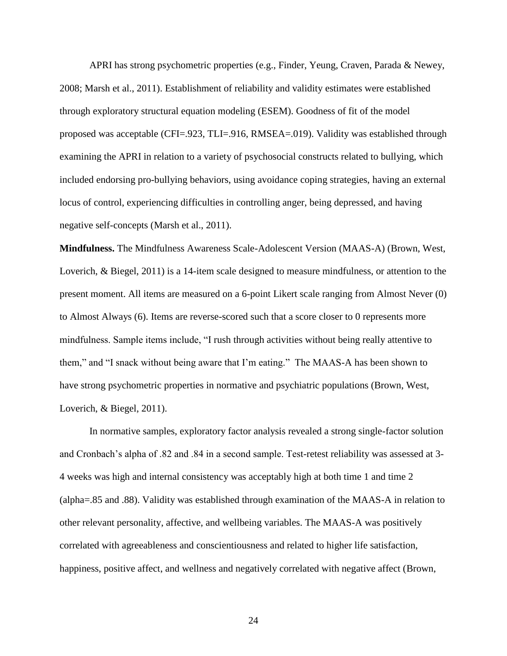APRI has strong psychometric properties (e.g., Finder, Yeung, Craven, Parada & Newey, 2008; Marsh et al., 2011). Establishment of reliability and validity estimates were established through exploratory structural equation modeling (ESEM). Goodness of fit of the model proposed was acceptable (CFI=.923, TLI=.916, RMSEA=.019). Validity was established through examining the APRI in relation to a variety of psychosocial constructs related to bullying, which included endorsing pro-bullying behaviors, using avoidance coping strategies, having an external locus of control, experiencing difficulties in controlling anger, being depressed, and having negative self-concepts (Marsh et al., 2011).

**Mindfulness.** The Mindfulness Awareness Scale-Adolescent Version (MAAS-A) (Brown, West, Loverich, & Biegel, 2011) is a 14-item scale designed to measure mindfulness, or attention to the present moment. All items are measured on a 6-point Likert scale ranging from Almost Never (0) to Almost Always (6). Items are reverse-scored such that a score closer to 0 represents more mindfulness. Sample items include, "I rush through activities without being really attentive to them," and "I snack without being aware that I'm eating." The MAAS-A has been shown to have strong psychometric properties in normative and psychiatric populations (Brown, West, Loverich, & Biegel, 2011).

In normative samples, exploratory factor analysis revealed a strong single-factor solution and Cronbach's alpha of .82 and .84 in a second sample. Test-retest reliability was assessed at 3- 4 weeks was high and internal consistency was acceptably high at both time 1 and time 2 (alpha=.85 and .88). Validity was established through examination of the MAAS-A in relation to other relevant personality, affective, and wellbeing variables. The MAAS-A was positively correlated with agreeableness and conscientiousness and related to higher life satisfaction, happiness, positive affect, and wellness and negatively correlated with negative affect (Brown,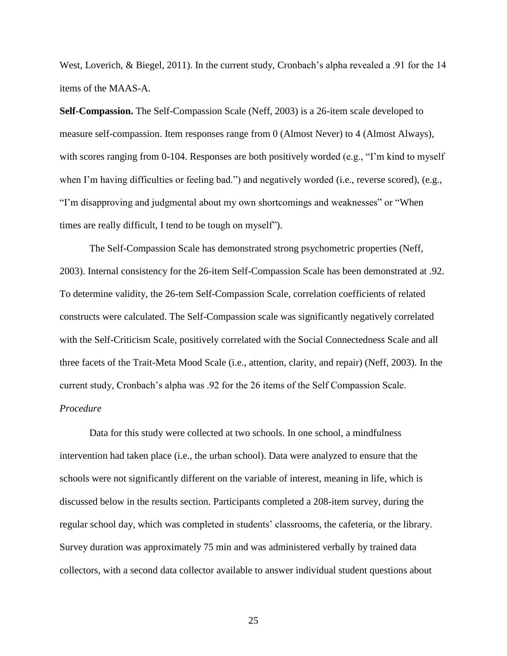West, Loverich, & Biegel, 2011). In the current study, Cronbach's alpha revealed a .91 for the 14 items of the MAAS-A.

**Self-Compassion.** The Self-Compassion Scale (Neff, 2003) is a 26-item scale developed to measure self-compassion. Item responses range from 0 (Almost Never) to 4 (Almost Always), with scores ranging from 0-104. Responses are both positively worded (e.g., "I'm kind to myself when I'm having difficulties or feeling bad.") and negatively worded (i.e., reverse scored), (e.g., "I'm disapproving and judgmental about my own shortcomings and weaknesses" or "When times are really difficult, I tend to be tough on myself").

The Self-Compassion Scale has demonstrated strong psychometric properties (Neff, 2003). Internal consistency for the 26-item Self-Compassion Scale has been demonstrated at .92. To determine validity, the 26-tem Self-Compassion Scale, correlation coefficients of related constructs were calculated. The Self-Compassion scale was significantly negatively correlated with the Self-Criticism Scale, positively correlated with the Social Connectedness Scale and all three facets of the Trait-Meta Mood Scale (i.e., attention, clarity, and repair) (Neff, 2003). In the current study, Cronbach's alpha was .92 for the 26 items of the Self Compassion Scale. *Procedure* 

 Data for this study were collected at two schools. In one school, a mindfulness intervention had taken place (i.e., the urban school). Data were analyzed to ensure that the schools were not significantly different on the variable of interest, meaning in life, which is discussed below in the results section. Participants completed a 208-item survey, during the regular school day, which was completed in students' classrooms, the cafeteria, or the library. Survey duration was approximately 75 min and was administered verbally by trained data collectors, with a second data collector available to answer individual student questions about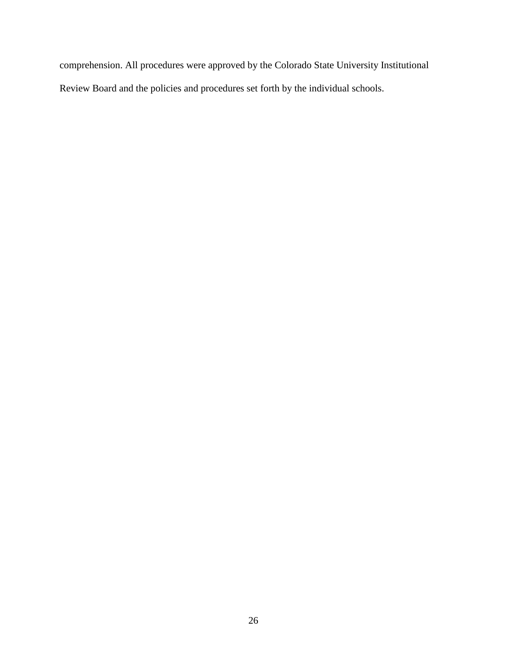comprehension. All procedures were approved by the Colorado State University Institutional Review Board and the policies and procedures set forth by the individual schools.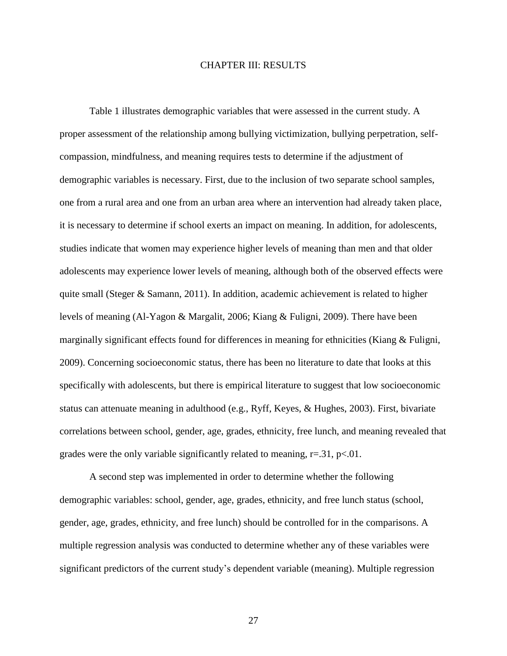## CHAPTER III: RESULTS

Table 1 illustrates demographic variables that were assessed in the current study. A proper assessment of the relationship among bullying victimization, bullying perpetration, selfcompassion, mindfulness, and meaning requires tests to determine if the adjustment of demographic variables is necessary. First, due to the inclusion of two separate school samples, one from a rural area and one from an urban area where an intervention had already taken place, it is necessary to determine if school exerts an impact on meaning. In addition, for adolescents, studies indicate that women may experience higher levels of meaning than men and that older adolescents may experience lower levels of meaning, although both of the observed effects were quite small (Steger & Samann, 2011). In addition, academic achievement is related to higher levels of meaning (Al-Yagon & Margalit, 2006; Kiang & Fuligni, 2009). There have been marginally significant effects found for differences in meaning for ethnicities (Kiang & Fuligni, 2009). Concerning socioeconomic status, there has been no literature to date that looks at this specifically with adolescents, but there is empirical literature to suggest that low socioeconomic status can attenuate meaning in adulthood (e.g., Ryff, Keyes, & Hughes, 2003). First, bivariate correlations between school, gender, age, grades, ethnicity, free lunch, and meaning revealed that grades were the only variable significantly related to meaning,  $r = .31$ ,  $p < .01$ .

A second step was implemented in order to determine whether the following demographic variables: school, gender, age, grades, ethnicity, and free lunch status (school, gender, age, grades, ethnicity, and free lunch) should be controlled for in the comparisons. A multiple regression analysis was conducted to determine whether any of these variables were significant predictors of the current study's dependent variable (meaning). Multiple regression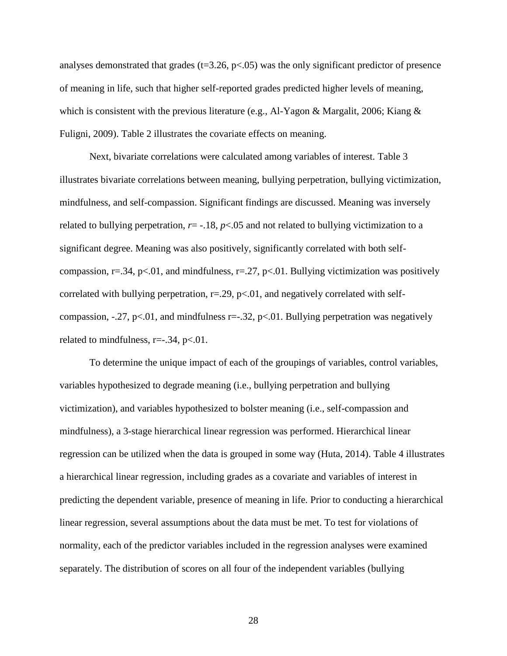analyses demonstrated that grades ( $t=3.26$ ,  $p<.05$ ) was the only significant predictor of presence of meaning in life, such that higher self-reported grades predicted higher levels of meaning, which is consistent with the previous literature (e.g., Al-Yagon & Margalit, 2006; Kiang  $\&$ Fuligni, 2009). Table 2 illustrates the covariate effects on meaning.

Next, bivariate correlations were calculated among variables of interest. Table 3 illustrates bivariate correlations between meaning, bullying perpetration, bullying victimization, mindfulness, and self-compassion. Significant findings are discussed. Meaning was inversely related to bullying perpetration,  $r = -18$ ,  $p < 05$  and not related to bullying victimization to a significant degree. Meaning was also positively, significantly correlated with both selfcompassion,  $r=34$ ,  $p<01$ , and mindfulness,  $r=27$ ,  $p<01$ . Bullying victimization was positively correlated with bullying perpetration,  $r = 0.29$ ,  $p < 0.01$ , and negatively correlated with selfcompassion,  $-0.27$ , p<.01, and mindfulness r= $-0.32$ , p<.01. Bullying perpetration was negatively related to mindfulness,  $r=-.34$ ,  $p<-.01$ .

To determine the unique impact of each of the groupings of variables, control variables, variables hypothesized to degrade meaning (i.e., bullying perpetration and bullying victimization), and variables hypothesized to bolster meaning (i.e., self-compassion and mindfulness), a 3-stage hierarchical linear regression was performed. Hierarchical linear regression can be utilized when the data is grouped in some way (Huta, 2014). Table 4 illustrates a hierarchical linear regression, including grades as a covariate and variables of interest in predicting the dependent variable, presence of meaning in life. Prior to conducting a hierarchical linear regression, several assumptions about the data must be met. To test for violations of normality, each of the predictor variables included in the regression analyses were examined separately. The distribution of scores on all four of the independent variables (bullying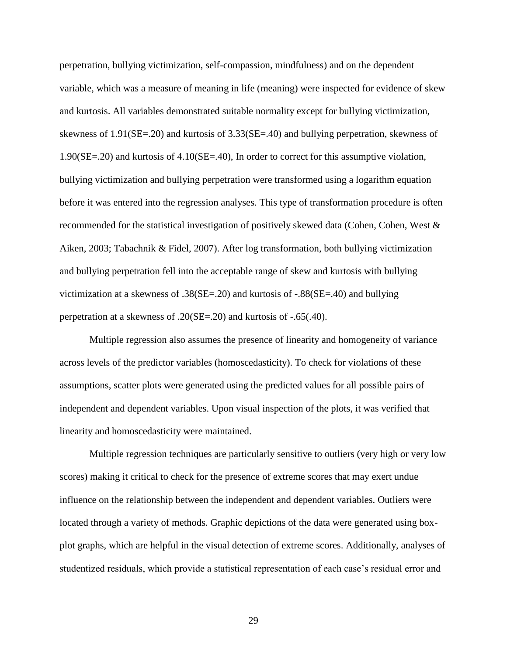perpetration, bullying victimization, self-compassion, mindfulness) and on the dependent variable, which was a measure of meaning in life (meaning) were inspected for evidence of skew and kurtosis. All variables demonstrated suitable normality except for bullying victimization, skewness of 1.91(SE=.20) and kurtosis of 3.33(SE=.40) and bullying perpetration, skewness of 1.90(SE=.20) and kurtosis of 4.10(SE=.40), In order to correct for this assumptive violation, bullying victimization and bullying perpetration were transformed using a logarithm equation before it was entered into the regression analyses. This type of transformation procedure is often recommended for the statistical investigation of positively skewed data (Cohen, Cohen, West & Aiken, 2003; Tabachnik & Fidel, 2007). After log transformation, both bullying victimization and bullying perpetration fell into the acceptable range of skew and kurtosis with bullying victimization at a skewness of .38(SE=.20) and kurtosis of -.88(SE=.40) and bullying perpetration at a skewness of .20(SE=.20) and kurtosis of -.65(.40).

Multiple regression also assumes the presence of linearity and homogeneity of variance across levels of the predictor variables (homoscedasticity). To check for violations of these assumptions, scatter plots were generated using the predicted values for all possible pairs of independent and dependent variables. Upon visual inspection of the plots, it was verified that linearity and homoscedasticity were maintained.

Multiple regression techniques are particularly sensitive to outliers (very high or very low scores) making it critical to check for the presence of extreme scores that may exert undue influence on the relationship between the independent and dependent variables. Outliers were located through a variety of methods. Graphic depictions of the data were generated using boxplot graphs, which are helpful in the visual detection of extreme scores. Additionally, analyses of studentized residuals, which provide a statistical representation of each case's residual error and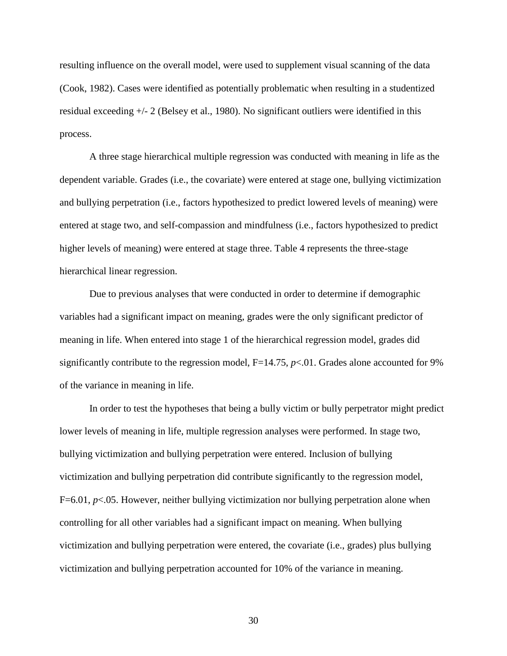resulting influence on the overall model, were used to supplement visual scanning of the data (Cook, 1982). Cases were identified as potentially problematic when resulting in a studentized residual exceeding +/- 2 (Belsey et al., 1980). No significant outliers were identified in this process.

A three stage hierarchical multiple regression was conducted with meaning in life as the dependent variable. Grades (i.e., the covariate) were entered at stage one, bullying victimization and bullying perpetration (i.e., factors hypothesized to predict lowered levels of meaning) were entered at stage two, and self-compassion and mindfulness (i.e., factors hypothesized to predict higher levels of meaning) were entered at stage three. Table 4 represents the three-stage hierarchical linear regression.

Due to previous analyses that were conducted in order to determine if demographic variables had a significant impact on meaning, grades were the only significant predictor of meaning in life. When entered into stage 1 of the hierarchical regression model, grades did significantly contribute to the regression model,  $F=14.75$ ,  $p<01$ . Grades alone accounted for 9% of the variance in meaning in life.

In order to test the hypotheses that being a bully victim or bully perpetrator might predict lower levels of meaning in life, multiple regression analyses were performed. In stage two, bullying victimization and bullying perpetration were entered. Inclusion of bullying victimization and bullying perpetration did contribute significantly to the regression model, F=6.01, *p*<.05. However, neither bullying victimization nor bullying perpetration alone when controlling for all other variables had a significant impact on meaning. When bullying victimization and bullying perpetration were entered, the covariate (i.e., grades) plus bullying victimization and bullying perpetration accounted for 10% of the variance in meaning.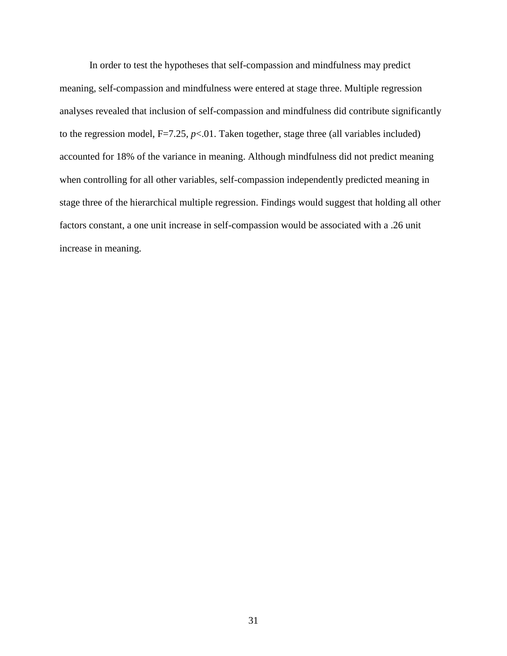In order to test the hypotheses that self-compassion and mindfulness may predict meaning, self-compassion and mindfulness were entered at stage three. Multiple regression analyses revealed that inclusion of self-compassion and mindfulness did contribute significantly to the regression model,  $F=7.25$ ,  $p<.01$ . Taken together, stage three (all variables included) accounted for 18% of the variance in meaning. Although mindfulness did not predict meaning when controlling for all other variables, self-compassion independently predicted meaning in stage three of the hierarchical multiple regression. Findings would suggest that holding all other factors constant, a one unit increase in self-compassion would be associated with a .26 unit increase in meaning.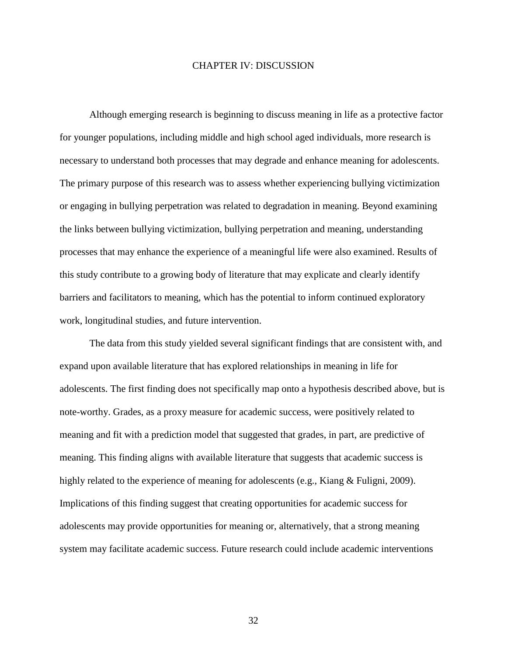#### CHAPTER IV: DISCUSSION

 Although emerging research is beginning to discuss meaning in life as a protective factor for younger populations, including middle and high school aged individuals, more research is necessary to understand both processes that may degrade and enhance meaning for adolescents. The primary purpose of this research was to assess whether experiencing bullying victimization or engaging in bullying perpetration was related to degradation in meaning. Beyond examining the links between bullying victimization, bullying perpetration and meaning, understanding processes that may enhance the experience of a meaningful life were also examined. Results of this study contribute to a growing body of literature that may explicate and clearly identify barriers and facilitators to meaning, which has the potential to inform continued exploratory work, longitudinal studies, and future intervention.

 The data from this study yielded several significant findings that are consistent with, and expand upon available literature that has explored relationships in meaning in life for adolescents. The first finding does not specifically map onto a hypothesis described above, but is note-worthy. Grades, as a proxy measure for academic success, were positively related to meaning and fit with a prediction model that suggested that grades, in part, are predictive of meaning. This finding aligns with available literature that suggests that academic success is highly related to the experience of meaning for adolescents (e.g., Kiang & Fuligni, 2009). Implications of this finding suggest that creating opportunities for academic success for adolescents may provide opportunities for meaning or, alternatively, that a strong meaning system may facilitate academic success. Future research could include academic interventions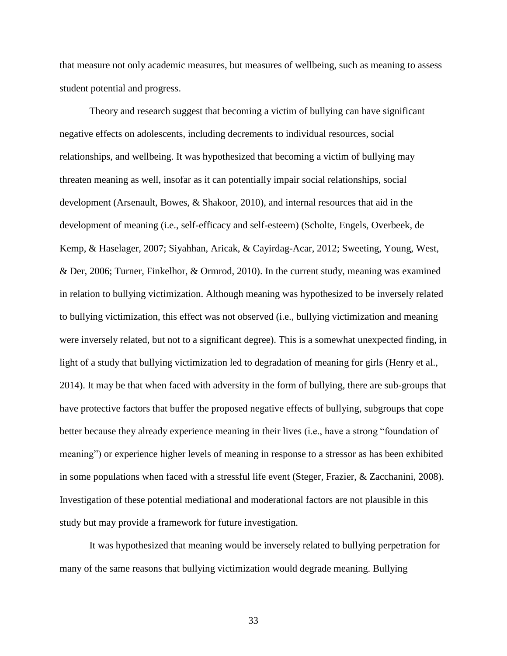that measure not only academic measures, but measures of wellbeing, such as meaning to assess student potential and progress.

Theory and research suggest that becoming a victim of bullying can have significant negative effects on adolescents, including decrements to individual resources, social relationships, and wellbeing. It was hypothesized that becoming a victim of bullying may threaten meaning as well, insofar as it can potentially impair social relationships, social development (Arsenault, Bowes, & Shakoor, 2010), and internal resources that aid in the development of meaning (i.e., self-efficacy and self-esteem) (Scholte, Engels, Overbeek, de Kemp, & Haselager, 2007; Siyahhan, Aricak, & Cayirdag-Acar, 2012; Sweeting, Young, West, & Der, 2006; Turner, Finkelhor, & Ormrod, 2010). In the current study, meaning was examined in relation to bullying victimization. Although meaning was hypothesized to be inversely related to bullying victimization, this effect was not observed (i.e., bullying victimization and meaning were inversely related, but not to a significant degree). This is a somewhat unexpected finding, in light of a study that bullying victimization led to degradation of meaning for girls (Henry et al., 2014). It may be that when faced with adversity in the form of bullying, there are sub-groups that have protective factors that buffer the proposed negative effects of bullying, subgroups that cope better because they already experience meaning in their lives (i.e., have a strong "foundation of meaning") or experience higher levels of meaning in response to a stressor as has been exhibited in some populations when faced with a stressful life event (Steger, Frazier, & Zacchanini, 2008). Investigation of these potential mediational and moderational factors are not plausible in this study but may provide a framework for future investigation.

 It was hypothesized that meaning would be inversely related to bullying perpetration for many of the same reasons that bullying victimization would degrade meaning. Bullying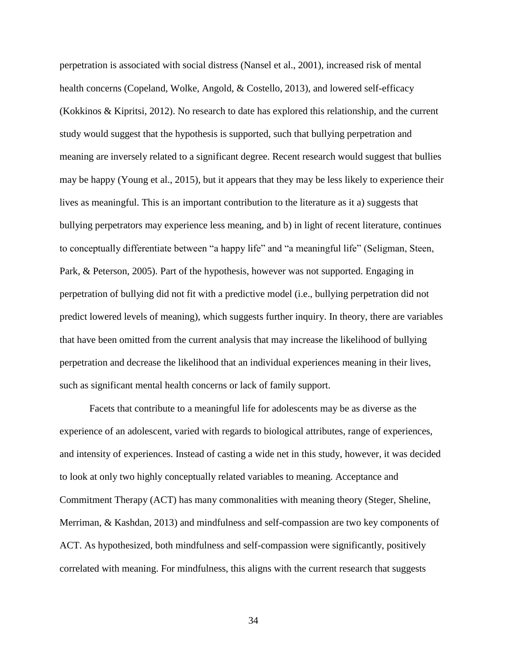perpetration is associated with social distress (Nansel et al., 2001), increased risk of mental health concerns (Copeland, Wolke, Angold, & Costello, 2013), and lowered self-efficacy (Kokkinos & Kipritsi, 2012). No research to date has explored this relationship, and the current study would suggest that the hypothesis is supported, such that bullying perpetration and meaning are inversely related to a significant degree. Recent research would suggest that bullies may be happy (Young et al., 2015), but it appears that they may be less likely to experience their lives as meaningful. This is an important contribution to the literature as it a) suggests that bullying perpetrators may experience less meaning, and b) in light of recent literature, continues to conceptually differentiate between "a happy life" and "a meaningful life" (Seligman, Steen, Park, & Peterson, 2005). Part of the hypothesis, however was not supported. Engaging in perpetration of bullying did not fit with a predictive model (i.e., bullying perpetration did not predict lowered levels of meaning), which suggests further inquiry. In theory, there are variables that have been omitted from the current analysis that may increase the likelihood of bullying perpetration and decrease the likelihood that an individual experiences meaning in their lives, such as significant mental health concerns or lack of family support.

 Facets that contribute to a meaningful life for adolescents may be as diverse as the experience of an adolescent, varied with regards to biological attributes, range of experiences, and intensity of experiences. Instead of casting a wide net in this study, however, it was decided to look at only two highly conceptually related variables to meaning. Acceptance and Commitment Therapy (ACT) has many commonalities with meaning theory (Steger, Sheline, Merriman, & Kashdan, 2013) and mindfulness and self-compassion are two key components of ACT. As hypothesized, both mindfulness and self-compassion were significantly, positively correlated with meaning. For mindfulness, this aligns with the current research that suggests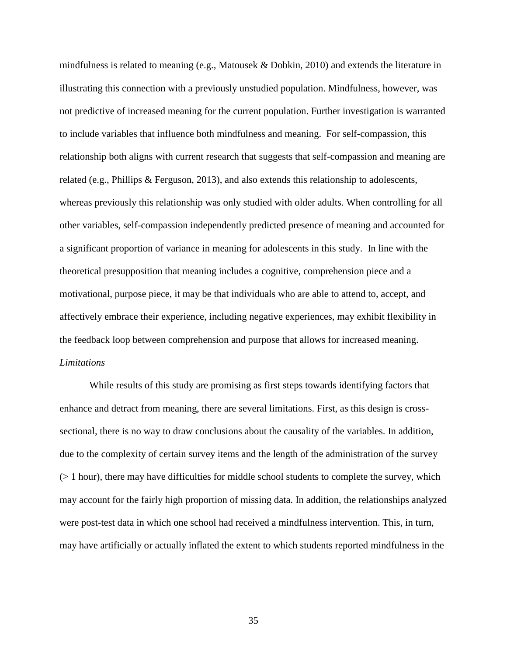mindfulness is related to meaning (e.g., Matousek & Dobkin, 2010) and extends the literature in illustrating this connection with a previously unstudied population. Mindfulness, however, was not predictive of increased meaning for the current population. Further investigation is warranted to include variables that influence both mindfulness and meaning. For self-compassion, this relationship both aligns with current research that suggests that self-compassion and meaning are related (e.g., Phillips & Ferguson, 2013), and also extends this relationship to adolescents, whereas previously this relationship was only studied with older adults. When controlling for all other variables, self-compassion independently predicted presence of meaning and accounted for a significant proportion of variance in meaning for adolescents in this study. In line with the theoretical presupposition that meaning includes a cognitive, comprehension piece and a motivational, purpose piece, it may be that individuals who are able to attend to, accept, and affectively embrace their experience, including negative experiences, may exhibit flexibility in the feedback loop between comprehension and purpose that allows for increased meaning. *Limitations* 

 While results of this study are promising as first steps towards identifying factors that enhance and detract from meaning, there are several limitations. First, as this design is crosssectional, there is no way to draw conclusions about the causality of the variables. In addition, due to the complexity of certain survey items and the length of the administration of the survey  $(> 1$  hour), there may have difficulties for middle school students to complete the survey, which may account for the fairly high proportion of missing data. In addition, the relationships analyzed were post-test data in which one school had received a mindfulness intervention. This, in turn, may have artificially or actually inflated the extent to which students reported mindfulness in the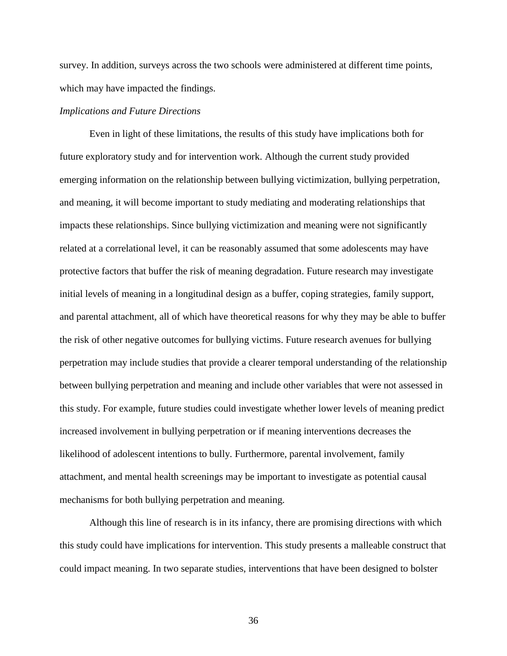survey. In addition, surveys across the two schools were administered at different time points, which may have impacted the findings.

## *Implications and Future Directions*

Even in light of these limitations, the results of this study have implications both for future exploratory study and for intervention work. Although the current study provided emerging information on the relationship between bullying victimization, bullying perpetration, and meaning, it will become important to study mediating and moderating relationships that impacts these relationships. Since bullying victimization and meaning were not significantly related at a correlational level, it can be reasonably assumed that some adolescents may have protective factors that buffer the risk of meaning degradation. Future research may investigate initial levels of meaning in a longitudinal design as a buffer, coping strategies, family support, and parental attachment, all of which have theoretical reasons for why they may be able to buffer the risk of other negative outcomes for bullying victims. Future research avenues for bullying perpetration may include studies that provide a clearer temporal understanding of the relationship between bullying perpetration and meaning and include other variables that were not assessed in this study. For example, future studies could investigate whether lower levels of meaning predict increased involvement in bullying perpetration or if meaning interventions decreases the likelihood of adolescent intentions to bully. Furthermore, parental involvement, family attachment, and mental health screenings may be important to investigate as potential causal mechanisms for both bullying perpetration and meaning.

Although this line of research is in its infancy, there are promising directions with which this study could have implications for intervention. This study presents a malleable construct that could impact meaning. In two separate studies, interventions that have been designed to bolster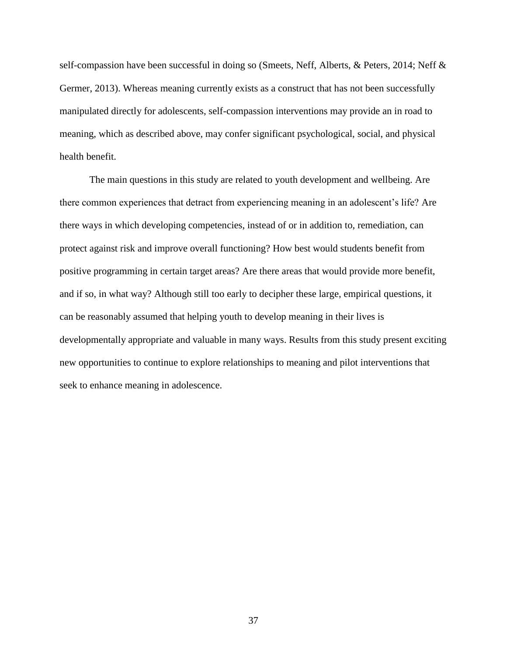self-compassion have been successful in doing so (Smeets, Neff, Alberts, & Peters, 2014; Neff & Germer, 2013). Whereas meaning currently exists as a construct that has not been successfully manipulated directly for adolescents, self-compassion interventions may provide an in road to meaning, which as described above, may confer significant psychological, social, and physical health benefit.

 The main questions in this study are related to youth development and wellbeing. Are there common experiences that detract from experiencing meaning in an adolescent's life? Are there ways in which developing competencies, instead of or in addition to, remediation, can protect against risk and improve overall functioning? How best would students benefit from positive programming in certain target areas? Are there areas that would provide more benefit, and if so, in what way? Although still too early to decipher these large, empirical questions, it can be reasonably assumed that helping youth to develop meaning in their lives is developmentally appropriate and valuable in many ways. Results from this study present exciting new opportunities to continue to explore relationships to meaning and pilot interventions that seek to enhance meaning in adolescence.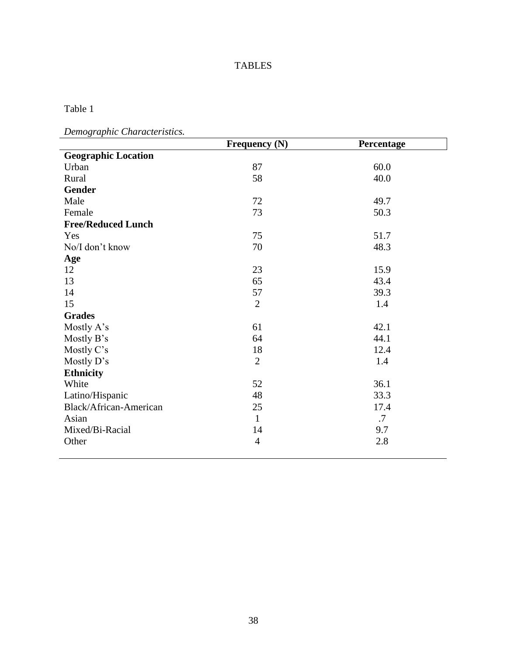# TABLES

Table 1

*Demographic Characteristics.* 

|                            | Frequency (N)  | Percentage |
|----------------------------|----------------|------------|
| <b>Geographic Location</b> |                |            |
| Urban                      | 87             | 60.0       |
| Rural                      | 58             | 40.0       |
| <b>Gender</b>              |                |            |
| Male                       | 72             | 49.7       |
| Female                     | 73             | 50.3       |
| <b>Free/Reduced Lunch</b>  |                |            |
| Yes                        | 75             | 51.7       |
| No/I don't know            | 70             | 48.3       |
| Age                        |                |            |
| 12                         | 23             | 15.9       |
| 13                         | 65             | 43.4       |
| 14                         | 57             | 39.3       |
| 15                         | $\overline{2}$ | 1.4        |
| <b>Grades</b>              |                |            |
| Mostly A's                 | 61             | 42.1       |
| Mostly B's                 | 64             | 44.1       |
| Mostly C's                 | 18             | 12.4       |
| Mostly D's                 | $\overline{2}$ | 1.4        |
| <b>Ethnicity</b>           |                |            |
| White                      | 52             | 36.1       |
| Latino/Hispanic            | 48             | 33.3       |
| Black/African-American     | 25             | 17.4       |
| Asian                      | $\mathbf{1}$   | .7         |
| Mixed/Bi-Racial            | 14             | 9.7        |
| Other                      | $\overline{4}$ | 2.8        |
|                            |                |            |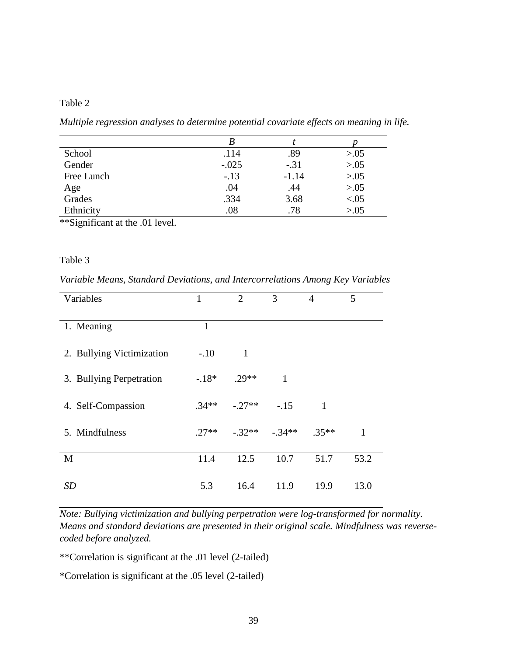# Table 2

*Multiple regression analyses to determine potential covariate effects on meaning in life.* 

| School     | .114    | .89     | > 0.05 |
|------------|---------|---------|--------|
| Gender     | $-.025$ | $-.31$  | > 0.05 |
| Free Lunch | $-13$   | $-1.14$ | > 0.05 |
| Age        | .04     | .44     | > 0.05 |
| Grades     | .334    | 3.68    | < 0.05 |
| Ethnicity  | .08     | .78     | > 0.05 |

\*\*Significant at the .01 level.

# Table 3

*Variable Means, Standard Deviations, and Intercorrelations Among Key Variables* 

| Variables                 | $\mathbf{1}$ | $\overline{2}$ | 3            | $\overline{4}$ | 5    |  |
|---------------------------|--------------|----------------|--------------|----------------|------|--|
| 1. Meaning                | 1            |                |              |                |      |  |
| 2. Bullying Victimization | $-.10$       | 1              |              |                |      |  |
| 3. Bullying Perpetration  | $-18*$       | $.29**$        | $\mathbf{1}$ |                |      |  |
| 4. Self-Compassion        | $.34**$      | $-27**$        | $-.15$       | 1              |      |  |
| 5. Mindfulness            | $.27**$      | $-.32**$       | $-0.34**$    | $.35**$        | 1    |  |
| M                         | 11.4         | 12.5           | 10.7         | 51.7           | 53.2 |  |
| <i>SD</i>                 | 5.3          | 16.4           | 11.9         | 19.9           | 13.0 |  |

*Note: Bullying victimization and bullying perpetration were log-transformed for normality. Means and standard deviations are presented in their original scale. Mindfulness was reversecoded before analyzed.* 

\*\*Correlation is significant at the .01 level (2-tailed)

\*Correlation is significant at the .05 level (2-tailed)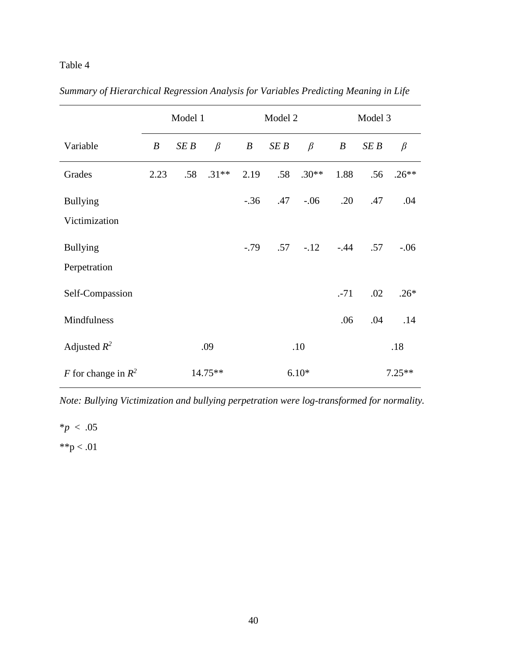# Table 4

|                       | Model 1          |      |         | Model 2          |      |             | Model 3          |      |          |
|-----------------------|------------------|------|---------|------------------|------|-------------|------------------|------|----------|
| Variable              | $\boldsymbol{B}$ | SE B | $\beta$ | $\boldsymbol{B}$ | SE B | $\beta$     | $\boldsymbol{B}$ | SE B | $\beta$  |
| Grades                | 2.23             | .58  | $.31**$ | 2.19             | .58  | $.30**$     | 1.88             | .56  | $.26**$  |
| <b>Bullying</b>       |                  |      |         | $-.36$           | .47  | $-0.06$     | .20              | .47  | .04      |
| Victimization         |                  |      |         |                  |      |             |                  |      |          |
| <b>Bullying</b>       |                  |      |         | $-.79$           |      | $.57 - .12$ | $-.44$           | .57  | $-0.06$  |
| Perpetration          |                  |      |         |                  |      |             |                  |      |          |
| Self-Compassion       |                  |      |         |                  |      |             | $-71$            | .02  | $.26*$   |
| Mindfulness           |                  |      |         |                  |      |             | .06              | .04  | .14      |
| Adjusted $R^2$        |                  |      | .09     |                  |      | .10         |                  |      | .18      |
| F for change in $R^2$ |                  |      | 14.75** |                  |      | $6.10*$     |                  |      | $7.25**$ |

*Summary of Hierarchical Regression Analysis for Variables Predicting Meaning in Life* 

*Note: Bullying Victimization and bullying perpetration were log-transformed for normality.*

 $*_{p}$  < .05  $*$  $p < .01$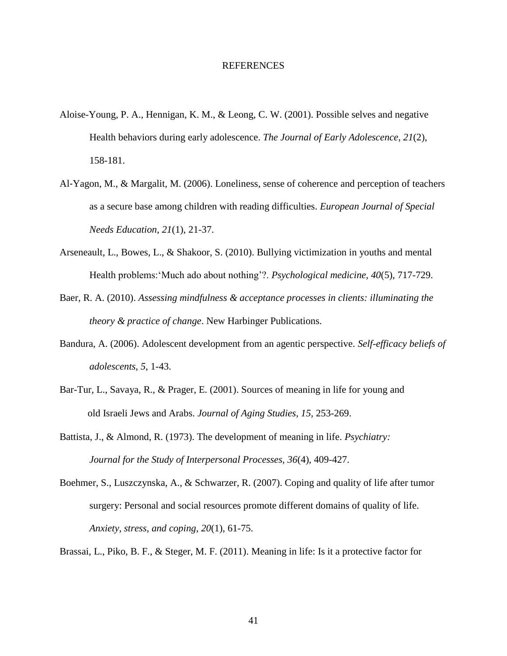#### REFERENCES

- Aloise-Young, P. A., Hennigan, K. M., & Leong, C. W. (2001). Possible selves and negative Health behaviors during early adolescence. *The Journal of Early Adolescence*, *21*(2), 158-181.
- Al‐Yagon, M., & Margalit, M. (2006). Loneliness, sense of coherence and perception of teachers as a secure base among children with reading difficulties. *European Journal of Special Needs Education*, *21*(1), 21-37.
- Arseneault, L., Bowes, L., & Shakoor, S. (2010). Bullying victimization in youths and mental Health problems:'Much ado about nothing'?. *Psychological medicine*, *40*(5), 717-729.
- Baer, R. A. (2010). *Assessing mindfulness & acceptance processes in clients: illuminating the theory & practice of change*. New Harbinger Publications.
- Bandura, A. (2006). Adolescent development from an agentic perspective. *Self-efficacy beliefs of adolescents*, *5*, 1-43.
- Bar-Tur, L., Savaya, R., & Prager, E. (2001). Sources of meaning in life for young and old Israeli Jews and Arabs. *Journal of Aging Studies, 15,* 253-269.
- Battista, J., & Almond, R. (1973). The development of meaning in life. *Psychiatry: Journal for the Study of Interpersonal Processes, 36*(4)*,* 409-427.
- Boehmer, S., Luszczynska, A., & Schwarzer, R. (2007). Coping and quality of life after tumor surgery: Personal and social resources promote different domains of quality of life. *Anxiety, stress, and coping*, *20*(1), 61-75.

Brassai, L., Piko, B. F., & Steger, M. F. (2011). Meaning in life: Is it a protective factor for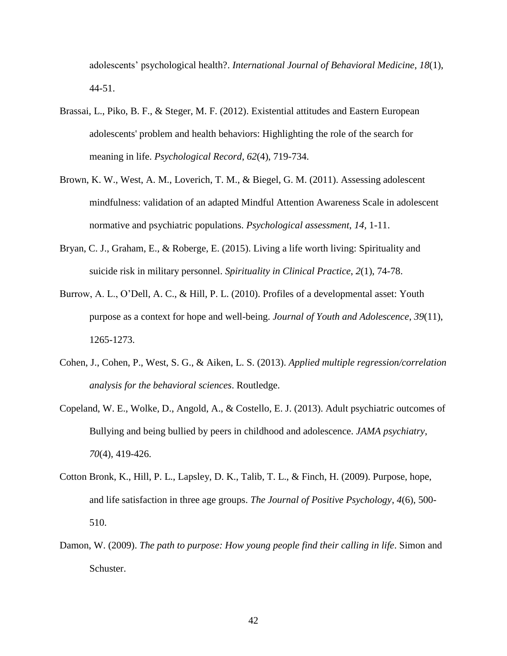adolescents' psychological health?. *International Journal of Behavioral Medicine*, *18*(1), 44-51.

- Brassai, L., Piko, B. F., & Steger, M. F. (2012). Existential attitudes and Eastern European adolescents' problem and health behaviors: Highlighting the role of the search for meaning in life. *Psychological Record*, *62*(4), 719-734.
- Brown, K. W., West, A. M., Loverich, T. M., & Biegel, G. M. (2011). Assessing adolescent mindfulness: validation of an adapted Mindful Attention Awareness Scale in adolescent normative and psychiatric populations. *Psychological assessment*, *14,* 1-11.
- Bryan, C. J., Graham, E., & Roberge, E. (2015). Living a life worth living: Spirituality and suicide risk in military personnel. *Spirituality in Clinical Practice*, *2*(1), 74-78.
- Burrow, A. L., O'Dell, A. C., & Hill, P. L. (2010). Profiles of a developmental asset: Youth purpose as a context for hope and well-being. *Journal of Youth and Adolescence*, *39*(11), 1265-1273.
- Cohen, J., Cohen, P., West, S. G., & Aiken, L. S. (2013). *Applied multiple regression/correlation analysis for the behavioral sciences*. Routledge.
- Copeland, W. E., Wolke, D., Angold, A., & Costello, E. J. (2013). Adult psychiatric outcomes of Bullying and being bullied by peers in childhood and adolescence. *JAMA psychiatry*, *70*(4), 419-426.
- Cotton Bronk, K., Hill, P. L., Lapsley, D. K., Talib, T. L., & Finch, H. (2009). Purpose, hope, and life satisfaction in three age groups. *The Journal of Positive Psychology*, *4*(6), 500- 510.
- Damon, W. (2009). *The path to purpose: How young people find their calling in life*. Simon and Schuster.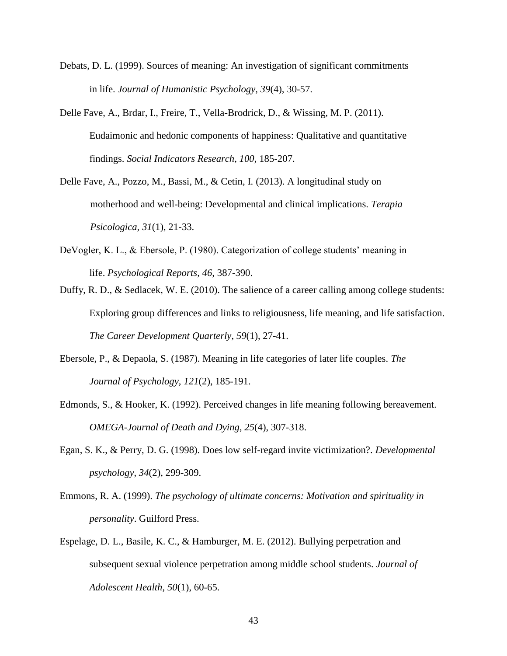- Debats, D. L. (1999). Sources of meaning: An investigation of significant commitments in life. *Journal of Humanistic Psychology, 39*(4), 30-57.
- Delle Fave, A., Brdar, I., Freire, T., Vella-Brodrick, D., & Wissing, M. P. (2011). Eudaimonic and hedonic components of happiness: Qualitative and quantitative findings. *Social Indicators Research, 100,* 185-207.
- Delle Fave, A., Pozzo, M., Bassi, M., & Cetin, I. (2013). A longitudinal study on motherhood and well-being: Developmental and clinical implications. *Terapia Psicologica, 31*(1), 21-33.
- DeVogler, K. L., & Ebersole, P. (1980). Categorization of college students' meaning in life. *Psychological Reports, 46,* 387-390.
- Duffy, R. D., & Sedlacek, W. E. (2010). The salience of a career calling among college students: Exploring group differences and links to religiousness, life meaning, and life satisfaction. *The Career Development Quarterly*, *59*(1), 27-41.
- Ebersole, P., & Depaola, S. (1987). Meaning in life categories of later life couples. *The Journal of Psychology*, *121*(2), 185-191.
- Edmonds, S., & Hooker, K. (1992). Perceived changes in life meaning following bereavement. *OMEGA-Journal of Death and Dying*, *25*(4), 307-318.
- Egan, S. K., & Perry, D. G. (1998). Does low self-regard invite victimization?. *Developmental psychology*, *34*(2), 299-309.
- Emmons, R. A. (1999). *The psychology of ultimate concerns: Motivation and spirituality in personality*. Guilford Press.
- Espelage, D. L., Basile, K. C., & Hamburger, M. E. (2012). Bullying perpetration and subsequent sexual violence perpetration among middle school students. *Journal of Adolescent Health*, *50*(1), 60-65.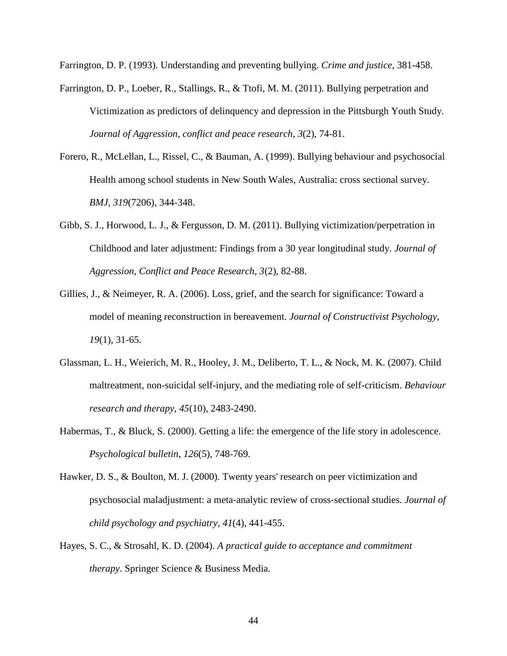Farrington, D. P. (1993). Understanding and preventing bullying. *Crime and justice*, 381-458.

- Farrington, D. P., Loeber, R., Stallings, R., & Ttofi, M. M. (2011). Bullying perpetration and Victimization as predictors of delinquency and depression in the Pittsburgh Youth Study. *Journal of Aggression, conflict and peace research*, *3*(2), 74-81.
- Forero, R., McLellan, L., Rissel, C., & Bauman, A. (1999). Bullying behaviour and psychosocial Health among school students in New South Wales, Australia: cross sectional survey. *BMJ*, *319*(7206), 344-348.
- Gibb, S. J., Horwood, L. J., & Fergusson, D. M. (2011). Bullying victimization/perpetration in Childhood and later adjustment: Findings from a 30 year longitudinal study. *Journal of Aggression, Conflict and Peace Research*, *3*(2), 82-88.
- Gillies, J., & Neimeyer, R. A. (2006). Loss, grief, and the search for significance: Toward a model of meaning reconstruction in bereavement. *Journal of Constructivist Psychology*, *19*(1), 31-65.
- Glassman, L. H., Weierich, M. R., Hooley, J. M., Deliberto, T. L., & Nock, M. K. (2007). Child maltreatment, non-suicidal self-injury, and the mediating role of self-criticism. *Behaviour research and therapy*, *45*(10), 2483-2490.
- Habermas, T., & Bluck, S. (2000). Getting a life: the emergence of the life story in adolescence. *Psychological bulletin*, *126*(5), 748-769.
- Hawker, D. S., & Boulton, M. J. (2000). Twenty years' research on peer victimization and psychosocial maladjustment: a meta‐analytic review of cross‐sectional studies. *Journal of child psychology and psychiatry*, *41*(4), 441-455.
- Hayes, S. C., & Strosahl, K. D. (2004). *A practical guide to acceptance and commitment therapy*. Springer Science & Business Media.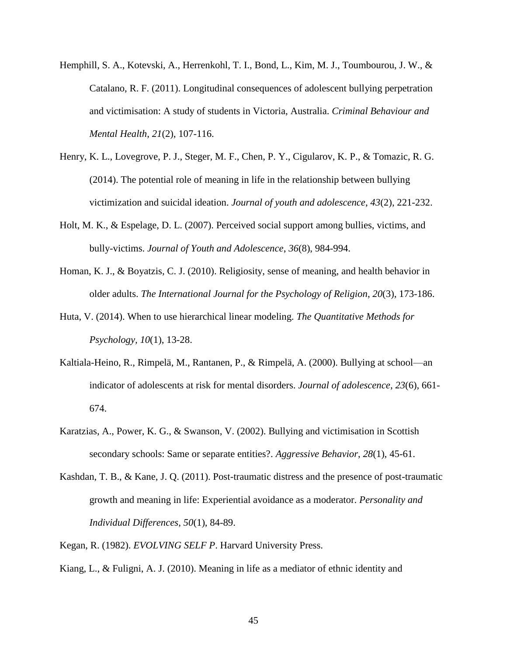- Hemphill, S. A., Kotevski, A., Herrenkohl, T. I., Bond, L., Kim, M. J., Toumbourou, J. W., & Catalano, R. F. (2011). Longitudinal consequences of adolescent bullying perpetration and victimisation: A study of students in Victoria, Australia. *Criminal Behaviour and Mental Health*, *21*(2), 107-116.
- Henry, K. L., Lovegrove, P. J., Steger, M. F., Chen, P. Y., Cigularov, K. P., & Tomazic, R. G. (2014). The potential role of meaning in life in the relationship between bullying victimization and suicidal ideation. *Journal of youth and adolescence*, *43*(2), 221-232.
- Holt, M. K., & Espelage, D. L. (2007). Perceived social support among bullies, victims, and bully-victims. *Journal of Youth and Adolescence*, *36*(8), 984-994.
- Homan, K. J., & Boyatzis, C. J. (2010). Religiosity, sense of meaning, and health behavior in older adults. *The International Journal for the Psychology of Religion*, *20*(3), 173-186.
- Huta, V. (2014). When to use hierarchical linear modeling. *The Quantitative Methods for Psychology, 10*(1), 13-28.
- Kaltiala-Heino, R., Rimpelä, M., Rantanen, P., & Rimpelä, A. (2000). Bullying at school—an indicator of adolescents at risk for mental disorders. *Journal of adolescence*, *23*(6), 661- 674.
- Karatzias, A., Power, K. G., & Swanson, V. (2002). Bullying and victimisation in Scottish secondary schools: Same or separate entities?. *Aggressive Behavior*, *28*(1), 45-61.
- Kashdan, T. B., & Kane, J. Q. (2011). Post-traumatic distress and the presence of post-traumatic growth and meaning in life: Experiential avoidance as a moderator. *Personality and Individual Differences*, *50*(1), 84-89.
- Kegan, R. (1982). *EVOLVING SELF P*. Harvard University Press.
- Kiang, L., & Fuligni, A. J. (2010). Meaning in life as a mediator of ethnic identity and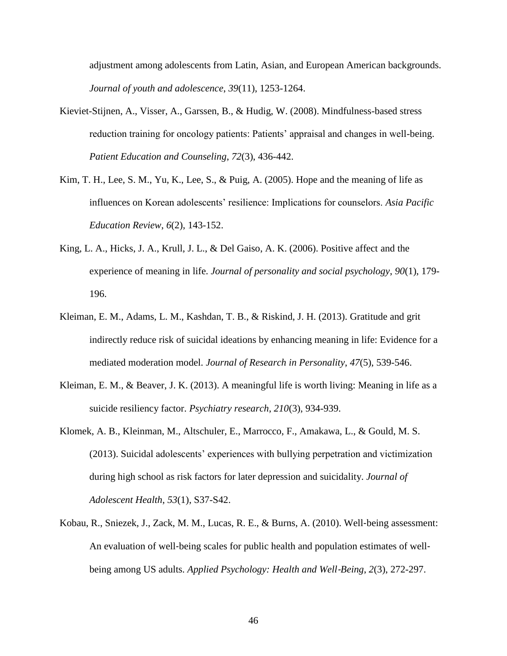adjustment among adolescents from Latin, Asian, and European American backgrounds. *Journal of youth and adolescence*, *39*(11), 1253-1264.

- Kieviet-Stijnen, A., Visser, A., Garssen, B., & Hudig, W. (2008). Mindfulness-based stress reduction training for oncology patients: Patients' appraisal and changes in well-being. *Patient Education and Counseling*, *72*(3), 436-442.
- Kim, T. H., Lee, S. M., Yu, K., Lee, S., & Puig, A. (2005). Hope and the meaning of life as influences on Korean adolescents' resilience: Implications for counselors. *Asia Pacific Education Review*, *6*(2), 143-152.
- King, L. A., Hicks, J. A., Krull, J. L., & Del Gaiso, A. K. (2006). Positive affect and the experience of meaning in life. *Journal of personality and social psychology*, *90*(1), 179- 196.
- Kleiman, E. M., Adams, L. M., Kashdan, T. B., & Riskind, J. H. (2013). Gratitude and grit indirectly reduce risk of suicidal ideations by enhancing meaning in life: Evidence for a mediated moderation model. *Journal of Research in Personality*, *47*(5), 539-546.
- Kleiman, E. M., & Beaver, J. K. (2013). A meaningful life is worth living: Meaning in life as a suicide resiliency factor. *Psychiatry research*, *210*(3), 934-939.
- Klomek, A. B., Kleinman, M., Altschuler, E., Marrocco, F., Amakawa, L., & Gould, M. S. (2013). Suicidal adolescents' experiences with bullying perpetration and victimization during high school as risk factors for later depression and suicidality. *Journal of Adolescent Health*, *53*(1), S37-S42.
- Kobau, R., Sniezek, J., Zack, M. M., Lucas, R. E., & Burns, A. (2010). Well-being assessment: An evaluation of well-being scales for public health and population estimates of wellbeing among US adults. *Applied Psychology: Health and Well*‐*Being*, *2*(3), 272-297.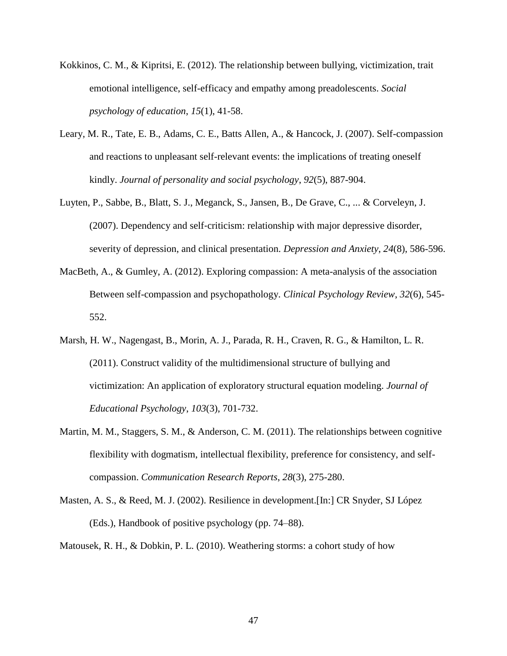- Kokkinos, C. M., & Kipritsi, E. (2012). The relationship between bullying, victimization, trait emotional intelligence, self-efficacy and empathy among preadolescents. *Social psychology of education*, *15*(1), 41-58.
- Leary, M. R., Tate, E. B., Adams, C. E., Batts Allen, A., & Hancock, J. (2007). Self-compassion and reactions to unpleasant self-relevant events: the implications of treating oneself kindly. *Journal of personality and social psychology*, *92*(5), 887-904.
- Luyten, P., Sabbe, B., Blatt, S. J., Meganck, S., Jansen, B., De Grave, C., ... & Corveleyn, J. (2007). Dependency and self‐criticism: relationship with major depressive disorder, severity of depression, and clinical presentation. *Depression and Anxiety*, *24*(8), 586-596.
- MacBeth, A., & Gumley, A. (2012). Exploring compassion: A meta-analysis of the association Between self-compassion and psychopathology. *Clinical Psychology Review*, *32*(6), 545- 552.
- Marsh, H. W., Nagengast, B., Morin, A. J., Parada, R. H., Craven, R. G., & Hamilton, L. R. (2011). Construct validity of the multidimensional structure of bullying and victimization: An application of exploratory structural equation modeling. *Journal of Educational Psychology*, *103*(3), 701-732.
- Martin, M. M., Staggers, S. M., & Anderson, C. M. (2011). The relationships between cognitive flexibility with dogmatism, intellectual flexibility, preference for consistency, and selfcompassion. *Communication Research Reports*, *28*(3), 275-280.
- Masten, A. S., & Reed, M. J. (2002). Resilience in development.[In:] CR Snyder, SJ López (Eds.), Handbook of positive psychology (pp. 74–88).

Matousek, R. H., & Dobkin, P. L. (2010). Weathering storms: a cohort study of how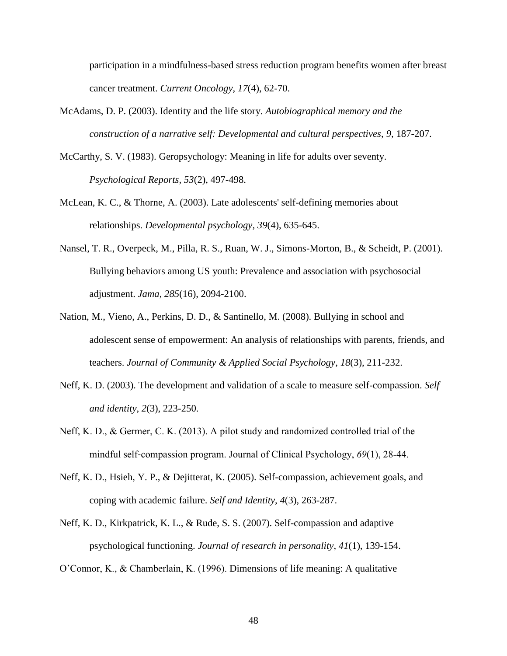participation in a mindfulness-based stress reduction program benefits women after breast cancer treatment. *Current Oncology*, *17*(4), 62-70.

- McAdams, D. P. (2003). Identity and the life story. *Autobiographical memory and the construction of a narrative self: Developmental and cultural perspectives*, *9*, 187-207.
- McCarthy, S. V. (1983). Geropsychology: Meaning in life for adults over seventy. *Psychological Reports, 53*(2), 497-498.
- McLean, K. C., & Thorne, A. (2003). Late adolescents' self-defining memories about relationships. *Developmental psychology*, *39*(4), 635-645.
- Nansel, T. R., Overpeck, M., Pilla, R. S., Ruan, W. J., Simons-Morton, B., & Scheidt, P. (2001). Bullying behaviors among US youth: Prevalence and association with psychosocial adjustment. *Jama*, *285*(16), 2094-2100.
- Nation, M., Vieno, A., Perkins, D. D., & Santinello, M. (2008). Bullying in school and adolescent sense of empowerment: An analysis of relationships with parents, friends, and teachers. *Journal of Community & Applied Social Psychology*, *18*(3), 211-232.
- Neff, K. D. (2003). The development and validation of a scale to measure self-compassion. *Self and identity*, *2*(3), 223-250.
- Neff, K. D., & Germer, C. K. (2013). A pilot study and randomized controlled trial of the mindful self‐compassion program. Journal of Clinical Psychology, *69*(1), 28-44.
- Neff, K. D., Hsieh, Y. P., & Dejitterat, K. (2005). Self-compassion, achievement goals, and coping with academic failure. *Self and Identity*, *4*(3), 263-287.
- Neff, K. D., Kirkpatrick, K. L., & Rude, S. S. (2007). Self-compassion and adaptive psychological functioning. *Journal of research in personality*, *41*(1), 139-154.
- O'Connor, K., & Chamberlain, K. (1996). Dimensions of life meaning: A qualitative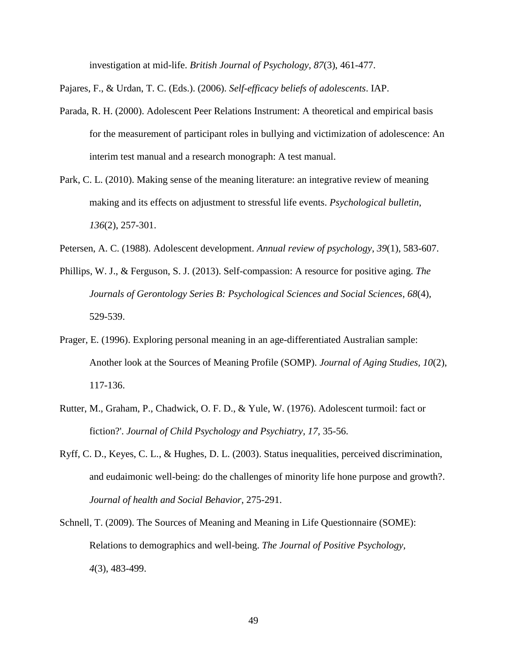investigation at mid-life. *British Journal of Psychology, 87*(3), 461-477.

Pajares, F., & Urdan, T. C. (Eds.). (2006). *Self-efficacy beliefs of adolescents*. IAP.

- Parada, R. H. (2000). Adolescent Peer Relations Instrument: A theoretical and empirical basis for the measurement of participant roles in bullying and victimization of adolescence: An interim test manual and a research monograph: A test manual.
- Park, C. L. (2010). Making sense of the meaning literature: an integrative review of meaning making and its effects on adjustment to stressful life events. *Psychological bulletin*, *136*(2), 257-301.
- Petersen, A. C. (1988). Adolescent development. *Annual review of psychology*, *39*(1), 583-607.
- Phillips, W. J., & Ferguson, S. J. (2013). Self-compassion: A resource for positive aging. *The Journals of Gerontology Series B: Psychological Sciences and Social Sciences*, *68*(4), 529-539.
- Prager, E. (1996). Exploring personal meaning in an age-differentiated Australian sample: Another look at the Sources of Meaning Profile (SOMP). *Journal of Aging Studies, 10*(2), 117-136.
- Rutter, M., Graham, P., Chadwick, O. F. D., & Yule, W. (1976). Adolescent turmoil: fact or fiction?'. *Journal of Child Psychology and Psychiatry, 17,* 35-56.
- Ryff, C. D., Keyes, C. L., & Hughes, D. L. (2003). Status inequalities, perceived discrimination, and eudaimonic well-being: do the challenges of minority life hone purpose and growth?. *Journal of health and Social Behavior*, 275-291.
- Schnell, T. (2009). The Sources of Meaning and Meaning in Life Questionnaire (SOME): Relations to demographics and well-being. *The Journal of Positive Psychology, 4*(3), 483-499.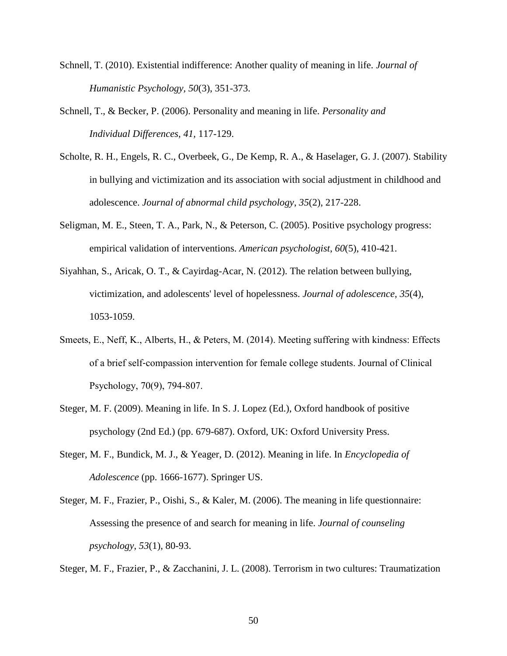- Schnell, T. (2010). Existential indifference: Another quality of meaning in life. *Journal of Humanistic Psychology, 50*(3), 351-373.
- Schnell, T., & Becker, P. (2006). Personality and meaning in life. *Personality and Individual Differences, 41,* 117-129.
- Scholte, R. H., Engels, R. C., Overbeek, G., De Kemp, R. A., & Haselager, G. J. (2007). Stability in bullying and victimization and its association with social adjustment in childhood and adolescence. *Journal of abnormal child psychology*, *35*(2), 217-228.
- Seligman, M. E., Steen, T. A., Park, N., & Peterson, C. (2005). Positive psychology progress: empirical validation of interventions. *American psychologist*, *60*(5), 410-421.
- Siyahhan, S., Aricak, O. T., & Cayirdag-Acar, N. (2012). The relation between bullying, victimization, and adolescents' level of hopelessness. *Journal of adolescence*, *35*(4), 1053-1059.
- Smeets, E., Neff, K., Alberts, H., & Peters, M. (2014). Meeting suffering with kindness: Effects of a brief self‐compassion intervention for female college students. Journal of Clinical Psychology, 70(9), 794-807.
- Steger, M. F. (2009). Meaning in life. In S. J. Lopez (Ed.), Oxford handbook of positive psychology (2nd Ed.) (pp. 679-687). Oxford, UK: Oxford University Press.
- Steger, M. F., Bundick, M. J., & Yeager, D. (2012). Meaning in life. In *Encyclopedia of Adolescence* (pp. 1666-1677). Springer US.
- Steger, M. F., Frazier, P., Oishi, S., & Kaler, M. (2006). The meaning in life questionnaire: Assessing the presence of and search for meaning in life. *Journal of counseling psychology*, *53*(1), 80-93.

Steger, M. F., Frazier, P., & Zacchanini, J. L. (2008). Terrorism in two cultures: Traumatization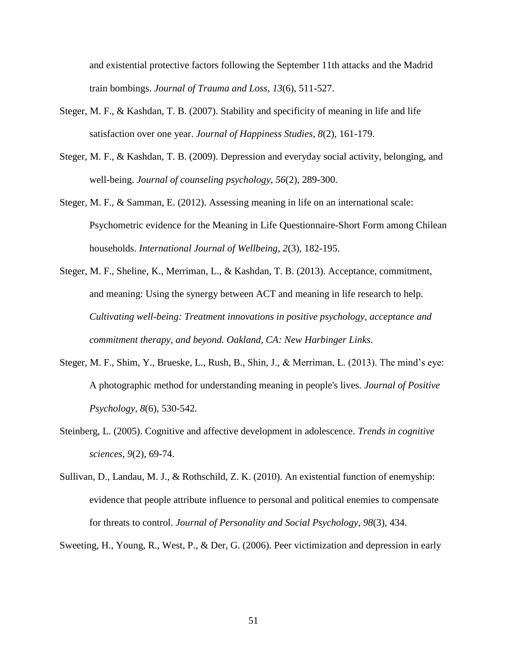and existential protective factors following the September 11th attacks and the Madrid train bombings. *Journal of Trauma and Loss*, *13*(6), 511-527.

- Steger, M. F., & Kashdan, T. B. (2007). Stability and specificity of meaning in life and life satisfaction over one year. *Journal of Happiness Studies*, *8*(2), 161-179.
- Steger, M. F., & Kashdan, T. B. (2009). Depression and everyday social activity, belonging, and well-being. *Journal of counseling psychology*, *56*(2), 289-300.
- Steger, M. F., & Samman, E. (2012). Assessing meaning in life on an international scale: Psychometric evidence for the Meaning in Life Questionnaire-Short Form among Chilean households. *International Journal of Wellbeing*, *2*(3), 182-195.
- Steger, M. F., Sheline, K., Merriman, L., & Kashdan, T. B. (2013). Acceptance, commitment, and meaning: Using the synergy between ACT and meaning in life research to help. *Cultivating well-being: Treatment innovations in positive psychology, acceptance and commitment therapy, and beyond. Oakland, CA: New Harbinger Links*.
- Steger, M. F., Shim, Y., Brueske, L., Rush, B., Shin, J., & Merriman, L. (2013). The mind's eye: A photographic method for understanding meaning in people's lives. *Journal of Positive Psychology, 8*(6), 530-542*.*
- Steinberg, L. (2005). Cognitive and affective development in adolescence. *Trends in cognitive sciences*, *9*(2), 69-74.
- Sullivan, D., Landau, M. J., & Rothschild, Z. K. (2010). An existential function of enemyship: evidence that people attribute influence to personal and political enemies to compensate for threats to control. *Journal of Personality and Social Psychology*, *98*(3), 434.

Sweeting, H., Young, R., West, P., & Der, G. (2006). Peer victimization and depression in early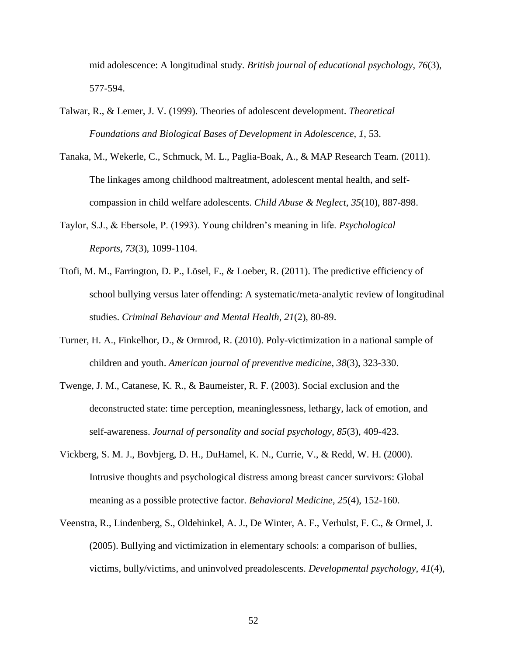mid adolescence: A longitudinal study. *British journal of educational psychology*, *76*(3), 577-594.

- Talwar, R., & Lemer, J. V. (1999). Theories of adolescent development. *Theoretical Foundations and Biological Bases of Development in Adolescence*, *1*, 53.
- Tanaka, M., Wekerle, C., Schmuck, M. L., Paglia-Boak, A., & MAP Research Team. (2011). The linkages among childhood maltreatment, adolescent mental health, and selfcompassion in child welfare adolescents. *Child Abuse & Neglect*, *35*(10), 887-898.
- Taylor, S.J., & Ebersole, P. (1993). Young children's meaning in life. *Psychological Reports, 73*(3), 1099-1104.
- Ttofi, M. M., Farrington, D. P., Lösel, F., & Loeber, R. (2011). The predictive efficiency of school bullying versus later offending: A systematic/meta-analytic review of longitudinal studies. *Criminal Behaviour and Mental Health*, *21*(2), 80-89.
- Turner, H. A., Finkelhor, D., & Ormrod, R. (2010). Poly-victimization in a national sample of children and youth. *American journal of preventive medicine*, *38*(3), 323-330.
- Twenge, J. M., Catanese, K. R., & Baumeister, R. F. (2003). Social exclusion and the deconstructed state: time perception, meaninglessness, lethargy, lack of emotion, and self-awareness. *Journal of personality and social psychology*, *85*(3), 409-423.
- Vickberg, S. M. J., Bovbjerg, D. H., DuHamel, K. N., Currie, V., & Redd, W. H. (2000). Intrusive thoughts and psychological distress among breast cancer survivors: Global meaning as a possible protective factor. *Behavioral Medicine*, *25*(4), 152-160.
- Veenstra, R., Lindenberg, S., Oldehinkel, A. J., De Winter, A. F., Verhulst, F. C., & Ormel, J. (2005). Bullying and victimization in elementary schools: a comparison of bullies, victims, bully/victims, and uninvolved preadolescents. *Developmental psychology*, *41*(4),